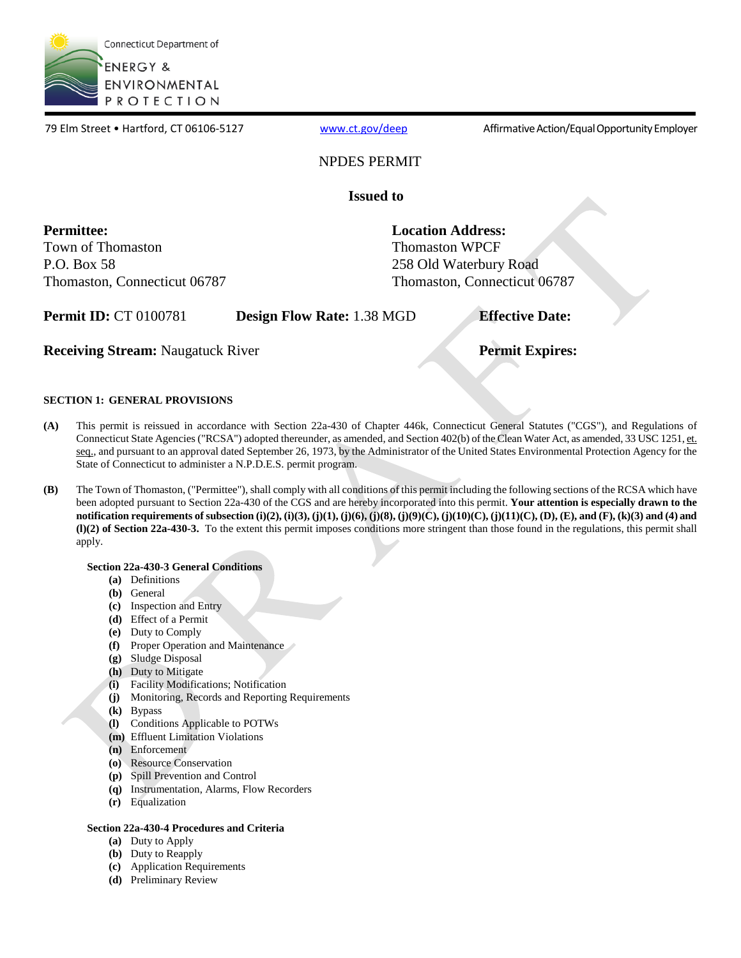

79 Elm Street • Hartford, CT 06106-5127 [www.ct.gov/deep](http://www.ct.gov/deep) Affirmative Action/Equal Opportunity Employer

### NPDES PERMIT

**Issued to** 

**Permittee:**  Town of Thomaston P.O. Box 58 Thomaston, Connecticut 06787 **Location Address:**  Thomaston WPCF 258 Old Waterbury Road Thomaston, Connecticut 06787

**Permit ID:** CT 0100781 **Design Flow Rate:** 1.38 MGD **Effective Date:** 

**Receiving Stream:** Naugatuck River **Permit Expires: Permit Expires: Permit Expires:** 

### **SECTION 1: GENERAL PROVISIONS**

- **(A)** This permit is reissued in accordance with Section 22a-430 of Chapter 446k, Connecticut General Statutes ("CGS"), and Regulations of Connecticut State Agencies ("RCSA") adopted thereunder, as amended, and Section 402(b) of the Clean Water Act, as amended, 33 USC 1251, et. seq., and pursuant to an approval dated September 26, 1973, by the Administrator of the United States Environmental Protection Agency for the State of Connecticut to administer a N.P.D.E.S. permit program.
- **(B)** The Town of Thomaston, ("Permittee"), shall comply with all conditions of this permit including the following sections of the RCSA which have been adopted pursuant to Section 22a-430 of the CGS and are hereby incorporated into this permit. **Your attention is especially drawn to the notification requirements of subsection (i)(2), (i)(3), (j)(1), (j)(6), (j)(8), (j)(9)(C), (j)(10)(C), (j)(11)(C), (D), (E), and (F), (k)(3) and (4) and (l)(2) of Section 22a-430-3.** To the extent this permit imposes conditions more stringent than those found in the regulations, this permit shall apply.

### **Section 22a-430-3 General Conditions**

- **(a)** Definitions
- **(b)** General
- **(c)** Inspection and Entry
- **(d)** Effect of a Permit
- **(e)** Duty to Comply
- **(f)** Proper Operation and Maintenance
- **(g)** Sludge Disposal
- **(h)** Duty to Mitigate
- **(i)** Facility Modifications; Notification
- **(j)** Monitoring, Records and Reporting Requirements
- **(k)** Bypass
- **(l)** Conditions Applicable to POTWs
- **(m)** Effluent Limitation Violations
- **(n)** Enforcement
- **(o)** Resource Conservation
- **(p)** Spill Prevention and Control
- **(q)** Instrumentation, Alarms, Flow Recorders
- **(r)** Equalization

### **Section 22a-430-4 Procedures and Criteria**

- **(a)** Duty to Apply
- **(b)** Duty to Reapply
- **(c)** Application Requirements
- **(d)** Preliminary Review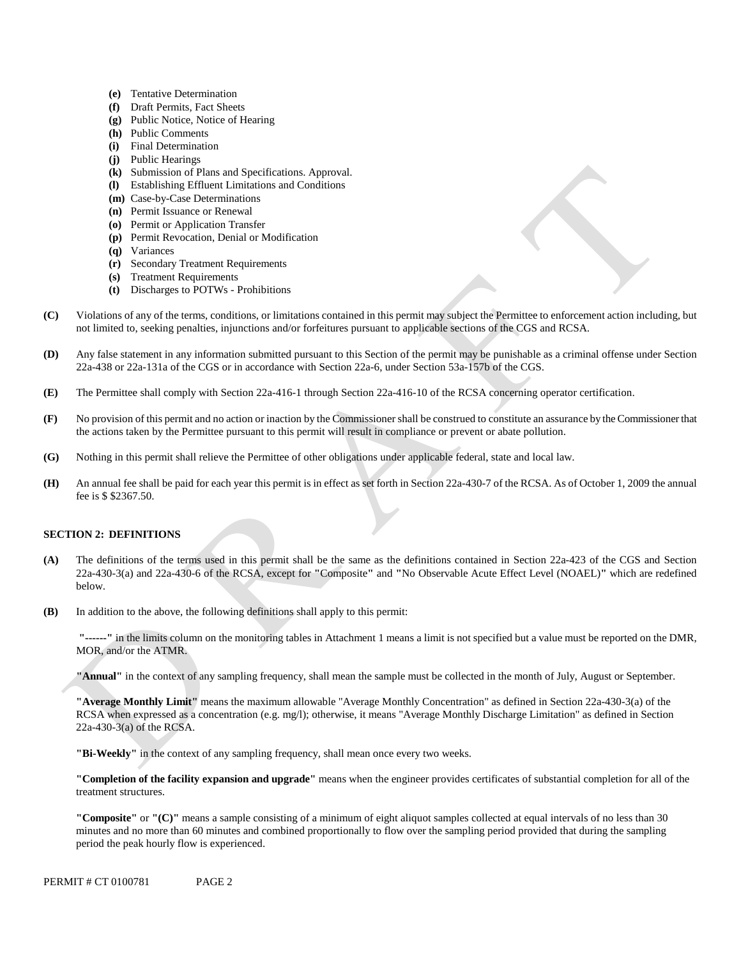- **(e)** Tentative Determination
- **(f)** Draft Permits, Fact Sheets
- **(g)** Public Notice, Notice of Hearing
- **(h)** Public Comments
- **(i)** Final Determination
- **(j)** Public Hearings
- **(k)** Submission of Plans and Specifications. Approval.
- **(l)** Establishing Effluent Limitations and Conditions
- **(m)** Case-by-Case Determinations
- **(n)** Permit Issuance or Renewal
- **(o)** Permit or Application Transfer
- **(p)** Permit Revocation, Denial or Modification
- **(q)** Variances
- **(r)** Secondary Treatment Requirements
- **(s)** Treatment Requirements
- **(t)** Discharges to POTWs Prohibitions
- **(C)** Violations of any of the terms, conditions, or limitations contained in this permit may subject the Permittee to enforcement action including, but not limited to, seeking penalties, injunctions and/or forfeitures pursuant to applicable sections of the CGS and RCSA.
- **(D)** Any false statement in any information submitted pursuant to this Section of the permit may be punishable as a criminal offense under Section 22a-438 or 22a-131a of the CGS or in accordance with Section 22a-6, under Section 53a-157b of the CGS.
- **(E)** The Permittee shall comply with Section 22a-416-1 through Section 22a-416-10 of the RCSA concerning operator certification.
- **(F)** No provision of this permit and no action or inaction by the Commissioner shall be construed to constitute an assurance by the Commissioner that the actions taken by the Permittee pursuant to this permit will result in compliance or prevent or abate pollution.
- **G)** Nothing in this permit shall relieve the Permittee of other obligations under applicable federal, state and local law. **(**
- **H)** An annual fee shall be paid for each year this permit is in effect as set forth in Section 22a-430-7 of the RCSA. As of October 1, 2009 the annual fee is \$ \$2367.50. **(**

### **SECTION 2: DEFINITIONS**

- **(A)** The definitions of the terms used in this permit shall be the same as the definitions contained in Section 22a-423 of the CGS and Section 22a-430-3(a) and 22a-430-6 of the RCSA, except for **"**Composite**"** and **"**No Observable Acute Effect Level (NOAEL)**"** which are redefined below.
- **(B)** In addition to the above, the following definitions shall apply to this permit:

**"------"** in the limits column on the monitoring tables in Attachment 1 means a limit is not specified but a value must be reported on the DMR, MOR, and/or the ATMR.

**"Annual"** in the context of any sampling frequency, shall mean the sample must be collected in the month of July, August or September.

**"Average Monthly Limit"** means the maximum allowable "Average Monthly Concentration" as defined in Section 22a-430-3(a) of the RCSA when expressed as a concentration (e.g. mg/l); otherwise, it means "Average Monthly Discharge Limitation" as defined in Section 22a-430-3(a) of the RCSA.

**"Bi-Weekly"** in the context of any sampling frequency, shall mean once every two weeks.

**"Completion of the facility expansion and upgrade"** means when the engineer provides certificates of substantial completion for all of the treatment structures.

**"Composite"** or **"(C)"** means a sample consisting of a minimum of eight aliquot samples collected at equal intervals of no less than 30 minutes and no more than 60 minutes and combined proportionally to flow over the sampling period provided that during the sampling period the peak hourly flow is experienced.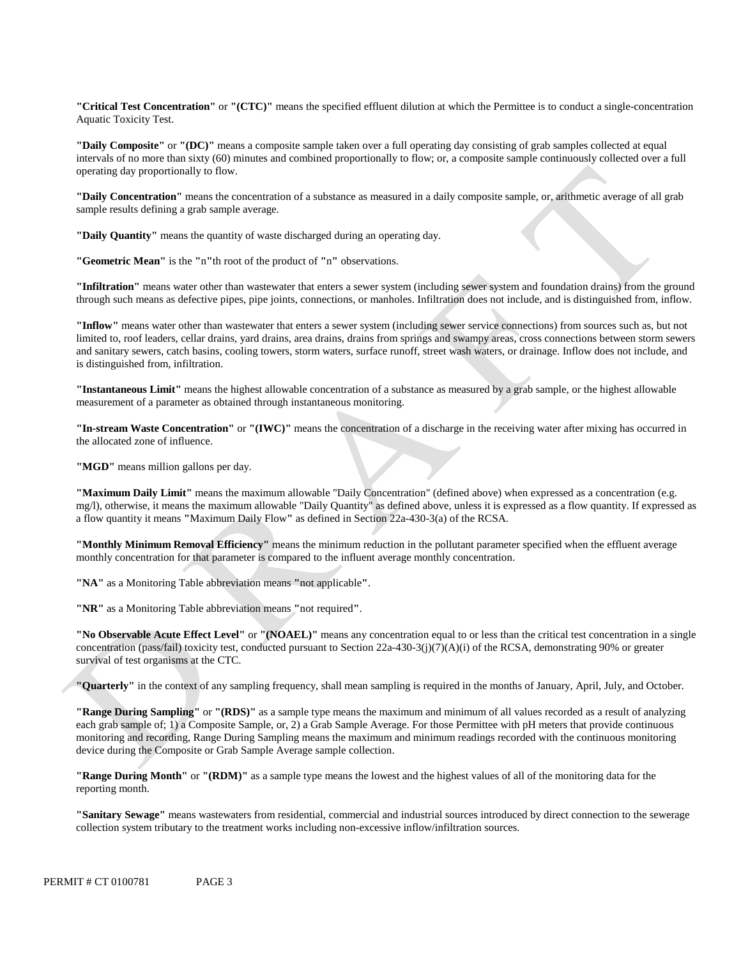**"Critical Test Concentration"** or **"(CTC)"** means the specified effluent dilution at which the Permittee is to conduct a single-concentration Aquatic Toxicity Test.

**"Daily Composite"** or **"(DC)"** means a composite sample taken over a full operating day consisting of grab samples collected at equal intervals of no more than sixty (60) minutes and combined proportionally to flow; or, a composite sample continuously collected over a full operating day proportionally to flow.

**"Daily Concentration"** means the concentration of a substance as measured in a daily composite sample, or, arithmetic average of all grab sample results defining a grab sample average.

**"Daily Quantity"** means the quantity of waste discharged during an operating day.

**"Geometric Mean"** is the **"**n**"**th root of the product of **"**n**"** observations.

**"Infiltration"** means water other than wastewater that enters a sewer system (including sewer system and foundation drains) from the ground through such means as defective pipes, pipe joints, connections, or manholes. Infiltration does not include, and is distinguished from, inflow.

 is distinguished from, infiltration. **"Inflow"** means water other than wastewater that enters a sewer system (including sewer service connections) from sources such as, but not limited to, roof leaders, cellar drains, yard drains, area drains, drains from springs and swampy areas, cross connections between storm sewers and sanitary sewers, catch basins, cooling towers, storm waters, surface runoff, street wash waters, or drainage. Inflow does not include, and

**"Instantaneous Limit"** means the highest allowable concentration of a substance as measured by a grab sample, or the highest allowable measurement of a parameter as obtained through instantaneous monitoring.

**"In-stream Waste Concentration"** or **"(IWC)"** means the concentration of a discharge in the receiving water after mixing has occurred in the allocated zone of influence.

"MGD" means million gallons per day.

**"Maximum Daily Limit"** means the maximum allowable "Daily Concentration" (defined above) when expressed as a concentration (e.g. mg/l), otherwise, it means the maximum allowable "Daily Quantity" as defined above, unless it is expressed as a flow quantity. If expressed as a flow quantity it means **"**Maximum Daily Flow**"** as defined in Section 22a-430-3(a) of the RCSA.

**"Monthly Minimum Removal Efficiency"** means the minimum reduction in the pollutant parameter specified when the effluent average monthly concentration for that parameter is compared to the influent average monthly concentration.

**"NA"** as a Monitoring Table abbreviation means **"**not applicable**"**.

**"NR"** as a Monitoring Table abbreviation means **"**not required**"**.

**"No Observable Acute Effect Level"** or **"(NOAEL)"** means any concentration equal to or less than the critical test concentration in a single concentration (pass/fail) toxicity test, conducted pursuant to Section  $22a-430-3(j)(7)(A)(i)$  of the RCSA, demonstrating 90% or greater survival of test organisms at the CTC.

**"Quarterly"** in the context of any sampling frequency, shall mean sampling is required in the months of January, April, July, and October.

**"Range During Sampling"** or **"(RDS)"** as a sample type means the maximum and minimum of all values recorded as a result of analyzing each grab sample of; 1) a Composite Sample, or, 2) a Grab Sample Average. For those Permittee with pH meters that provide continuous monitoring and recording, Range During Sampling means the maximum and minimum readings recorded with the continuous monitoring device during the Composite or Grab Sample Average sample collection.

**"Range During Month"** or **"(RDM)"** as a sample type means the lowest and the highest values of all of the monitoring data for the reporting month.

**"Sanitary Sewage"** means wastewaters from residential, commercial and industrial sources introduced by direct connection to the sewerage collection system tributary to the treatment works including non-excessive inflow/infiltration sources.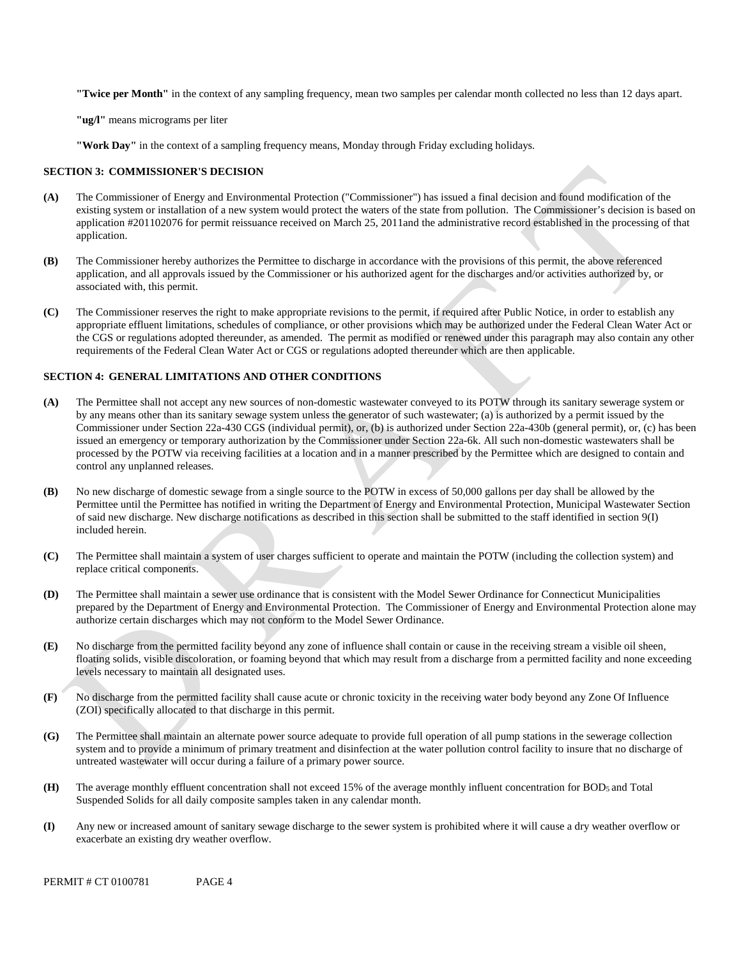**"Twice per Month"** in the context of any sampling frequency, mean two samples per calendar month collected no less than 12 days apart.

**"ug/l"** means micrograms per liter

**"Work Day"** in the context of a sampling frequency means, Monday through Friday excluding holidays.

#### **SECTION 3: COMMISSIONER'S DECISION**

- **(A)** The Commissioner of Energy and Environmental Protection ("Commissioner") has issued a final decision and found modification of the existing system or installation of a new system would protect the waters of the state from pollution. The Commissioner's decision is based on application #201102076 for permit reissuance received on March 25, 2011and the administrative record established in the processing of that application.
- **(B)** The Commissioner hereby authorizes the Permittee to discharge in accordance with the provisions of this permit, the above referenced application, and all approvals issued by the Commissioner or his authorized agent for the discharges and/or activities authorized by, or associated with, this permit.
- **(C)** The Commissioner reserves the right to make appropriate revisions to the permit, if required after Public Notice, in order to establish any appropriate effluent limitations, schedules of compliance, or other provisions which may be authorized under the Federal Clean Water Act or the CGS or regulations adopted thereunder, as amended. The permit as modified or renewed under this paragraph may also contain any other requirements of the Federal Clean Water Act or CGS or regulations adopted thereunder which are then applicable.

### **SECTION 4: GENERAL LIMITATIONS AND OTHER CONDITIONS**

- **(A)** The Permittee shall not accept any new sources of non-domestic wastewater conveyed to its POTW through its sanitary sewerage system or by any means other than its sanitary sewage system unless the generator of such wastewater; (a) is authorized by a permit issued by the Commissioner under Section 22a-430 CGS (individual permit), or, (b) is authorized under Section 22a-430b (general permit), or, (c) has been issued an emergency or temporary authorization by the Commissioner under Section 22a-6k. All such non-domestic wastewaters shall be processed by the POTW via receiving facilities at a location and in a manner prescribed by the Permittee which are designed to contain and control any unplanned releases.
- **(B)** No new discharge of domestic sewage from a single source to the POTW in excess of 50,000 gallons per day shall be allowed by the Permittee until the Permittee has notified in writing the Department of Energy and Environmental Protection, Municipal Wastewater Section of said new discharge. New discharge notifications as described in this section shall be submitted to the staff identified in section 9(I) included herein.
- **(C)** The Permittee shall maintain a system of user charges sufficient to operate and maintain the POTW (including the collection system) and replace critical components.
- **(D)** The Permittee shall maintain a sewer use ordinance that is consistent with the Model Sewer Ordinance for Connecticut Municipalities prepared by the Department of Energy and Environmental Protection. The Commissioner of Energy and Environmental Protection alone may authorize certain discharges which may not conform to the Model Sewer Ordinance.
- **(E)** No discharge from the permitted facility beyond any zone of influence shall contain or cause in the receiving stream a visible oil sheen, floating solids, visible discoloration, or foaming beyond that which may result from a discharge from a permitted facility and none exceeding levels necessary to maintain all designated uses.
- **(F)** No discharge from the permitted facility shall cause acute or chronic toxicity in the receiving water body beyond any Zone Of Influence (ZOI) specifically allocated to that discharge in this permit.
- **(G)** The Permittee shall maintain an alternate power source adequate to provide full operation of all pump stations in the sewerage collection system and to provide a minimum of primary treatment and disinfection at the water pollution control facility to insure that no discharge of untreated wastewater will occur during a failure of a primary power source.
- **(H)** The average monthly effluent concentration shall not exceed 15% of the average monthly influent concentration for BOD5 and Total Suspended Solids for all daily composite samples taken in any calendar month.
- **(I)** Any new or increased amount of sanitary sewage discharge to the sewer system is prohibited where it will cause a dry weather overflow or exacerbate an existing dry weather overflow.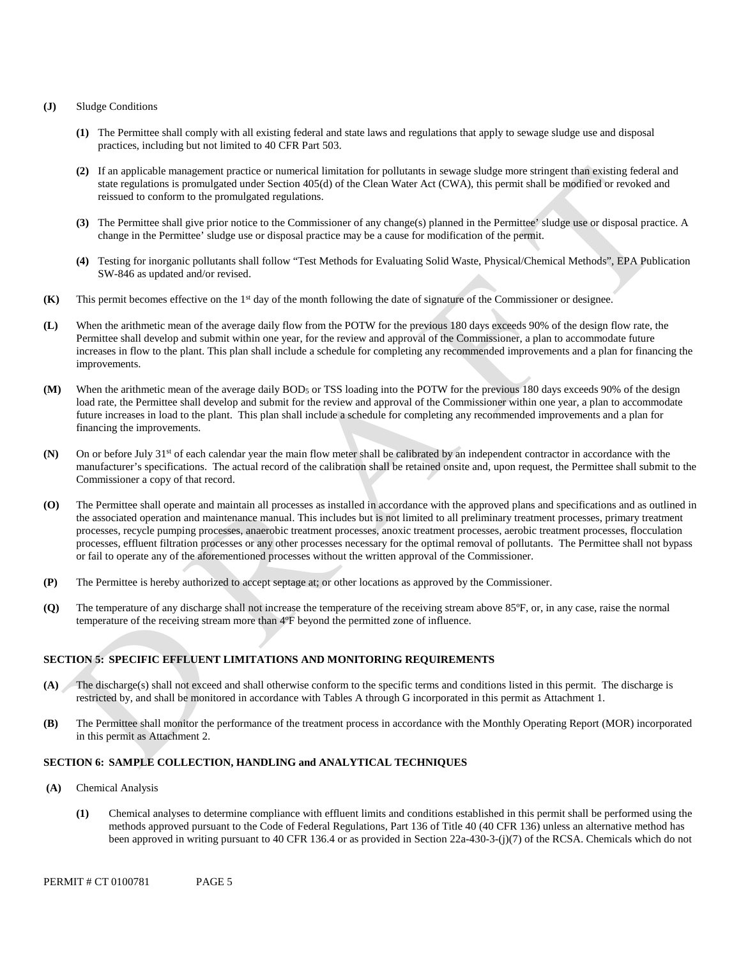#### **(J)** Sludge Conditions

- **(1)** The Permittee shall comply with all existing federal and state laws and regulations that apply to sewage sludge use and disposal practices, including but not limited to 40 CFR Part 503.
- **(2)** If an applicable management practice or numerical limitation for pollutants in sewage sludge more stringent than existing federal and state regulations is promulgated under Section 405(d) of the Clean Water Act (CWA), this permit shall be modified or revoked and reissued to conform to the promulgated regulations.
- **(3)** The Permittee shall give prior notice to the Commissioner of any change(s) planned in the Permittee' sludge use or disposal practice. A change in the Permittee' sludge use or disposal practice may be a cause for modification of the permit.
- **(4)** Testing for inorganic pollutants shall follow "Test Methods for Evaluating Solid Waste, Physical/Chemical Methods", EPA Publication SW-846 as updated and/or revised.
- **(K)** This permit becomes effective on the 1<sup>st</sup> day of the month following the date of signature of the Commissioner or designee.
- **(L)** When the arithmetic mean of the average daily flow from the POTW for the previous 180 days exceeds 90% of the design flow rate, the Permittee shall develop and submit within one year, for the review and approval of the Commissioner, a plan to accommodate future increases in flow to the plant. This plan shall include a schedule for completing any recommended improvements and a plan for financing the improvements.
- **(M)** When the arithmetic mean of the average daily BOD5 or TSS loading into the POTW for the previous 180 days exceeds 90% of the design load rate, the Permittee shall develop and submit for the review and approval of the Commissioner within one year, a plan to accommodate future increases in load to the plant. This plan shall include a schedule for completing any recommended improvements and a plan for financing the improvements.
- **(N)** On or before July 31st of each calendar year the main flow meter shall be calibrated by an independent contractor in accordance with the manufacturer's specifications. The actual record of the calibration shall be retained onsite and, upon request, the Permittee shall submit to the Commissioner a copy of that record.
- **(O)** The Permittee shall operate and maintain all processes as installed in accordance with the approved plans and specifications and as outlined in the associated operation and maintenance manual. This includes but is not limited to all preliminary treatment processes, primary treatment processes, recycle pumping processes, anaerobic treatment processes, anoxic treatment processes, aerobic treatment processes, flocculation processes, effluent filtration processes or any other processes necessary for the optimal removal of pollutants. The Permittee shall not bypass or fail to operate any of the aforementioned processes without the written approval of the Commissioner.
- **(P)** The Permittee is hereby authorized to accept septage at; or other locations as approved by the Commissioner.
- **(Q)** The temperature of any discharge shall not increase the temperature of the receiving stream above 85ºF, or, in any case, raise the normal temperature of the receiving stream more than 4ºF beyond the permitted zone of influence.

### **SECTION 5: SPECIFIC EFFLUENT LIMITATIONS AND MONITORING REQUIREMENTS**

- **(A)** The discharge(s) shall not exceed and shall otherwise conform to the specific terms and conditions listed in this permit. The discharge is restricted by, and shall be monitored in accordance with Tables A through G incorporated in this permit as Attachment 1.
- **(B)** The Permittee shall monitor the performance of the treatment process in accordance with the Monthly Operating Report (MOR) incorporated in this permit as Attachment 2.

#### **SECTION 6: SAMPLE COLLECTION, HANDLING and ANALYTICAL TECHNIQUES**

- **(A)** Chemical Analysis
	- **(1)** Chemical analyses to determine compliance with effluent limits and conditions established in this permit shall be performed using the methods approved pursuant to the Code of Federal Regulations, Part 136 of Title 40 (40 CFR 136) unless an alternative method has been approved in writing pursuant to 40 CFR 136.4 or as provided in Section 22a-430-3-(j)(7) of the RCSA. Chemicals which do not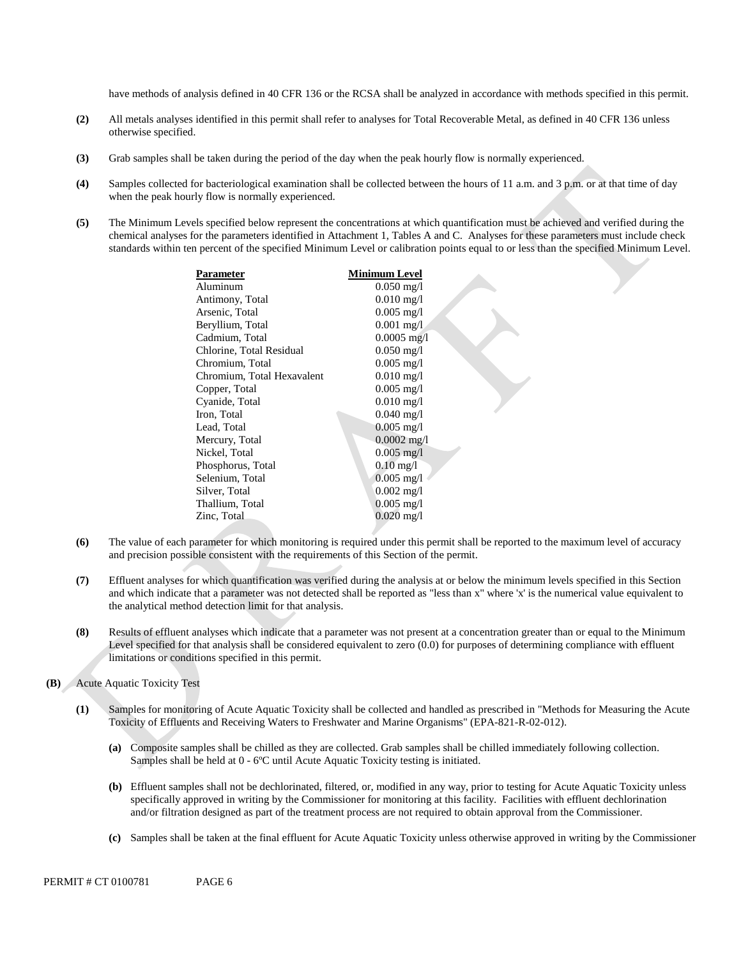have methods of analysis defined in 40 CFR 136 or the RCSA shall be analyzed in accordance with methods specified in this permit.

- **(2)** All metals analyses identified in this permit shall refer to analyses for Total Recoverable Metal, as defined in 40 CFR 136 unless otherwise specified.
- **(3)** Grab samples shall be taken during the period of the day when the peak hourly flow is normally experienced.
- **(4)** Samples collected for bacteriological examination shall be collected between the hours of 11 a.m. and 3 p.m. or at that time of day when the peak hourly flow is normally experienced.
- **(5)** The Minimum Levels specified below represent the concentrations at which quantification must be achieved and verified during the chemical analyses for the parameters identified in Attachment 1, Tables A and C. Analyses for these parameters must include check standards within ten percent of the specified Minimum Level or calibration points equal to or less than the specified Minimum Level.

C

| Parameter                  | Minimum Level           |
|----------------------------|-------------------------|
| Aluminum                   | $0.050 \text{ mg/l}$    |
| Antimony, Total            | $0.010$ mg/l            |
| Arsenic, Total             | $0.005 \text{ mg/l}$    |
| Beryllium, Total           | $0.001$ mg/l            |
| Cadmium, Total             | $0.0005$ mg/l           |
| Chlorine, Total Residual   | $0.050 \,\mathrm{mg}/l$ |
| Chromium, Total            | $0.005 \text{ mg/l}$    |
| Chromium, Total Hexavalent | $0.010$ mg/l            |
| Copper, Total              | $0.005$ mg/l            |
| Cyanide, Total             | $0.010$ mg/l            |
| Iron, Total                | $0.040 \text{ mg/l}$    |
| Lead, Total                | $0.005 \text{ mg/l}$    |
| Mercury, Total             | $0.0002$ mg/l           |
| Nickel, Total              | $0.005 \text{ mg/l}$    |
| Phosphorus, Total          | $0.10 \,\mathrm{mg}/l$  |
| Selenium, Total            | $0.005$ mg/l            |
| Silver, Total              | $0.002 \text{ mg/l}$    |
| Thallium, Total            | $0.005$ mg/l            |
| Zinc, Total                | $0.020 \text{ mg/l}$    |
|                            |                         |

- **(6)** The value of each parameter for which monitoring is required under this permit shall be reported to the maximum level of accuracy and precision possible consistent with the requirements of this Section of the permit.
- **(7)** Effluent analyses for which quantification was verified during the analysis at or below the minimum levels specified in this Section and which indicate that a parameter was not detected shall be reported as "less than x" where 'x' is the numerical value equivalent to the analytical method detection limit for that analysis.
- **(8)** Results of effluent analyses which indicate that a parameter was not present at a concentration greater than or equal to the Minimum Level specified for that analysis shall be considered equivalent to zero (0.0) for purposes of determining compliance with effluent limitations or conditions specified in this permit.
- **(B)** Acute Aquatic Toxicity Test
	- **(1)** Samples for monitoring of Acute Aquatic Toxicity shall be collected and handled as prescribed in "Methods for Measuring the Acute Toxicity of Effluents and Receiving Waters to Freshwater and Marine Organisms" (EPA-821-R-02-012).
		- **(a)** Composite samples shall be chilled as they are collected. Grab samples shall be chilled immediately following collection. Samples shall be held at 0 - 6ºC until Acute Aquatic Toxicity testing is initiated.
		- **(b)** Effluent samples shall not be dechlorinated, filtered, or, modified in any way, prior to testing for Acute Aquatic Toxicity unless specifically approved in writing by the Commissioner for monitoring at this facility. Facilities with effluent dechlorination and/or filtration designed as part of the treatment process are not required to obtain approval from the Commissioner.
		- **(c)** Samples shall be taken at the final effluent for Acute Aquatic Toxicity unless otherwise approved in writing by the Commissioner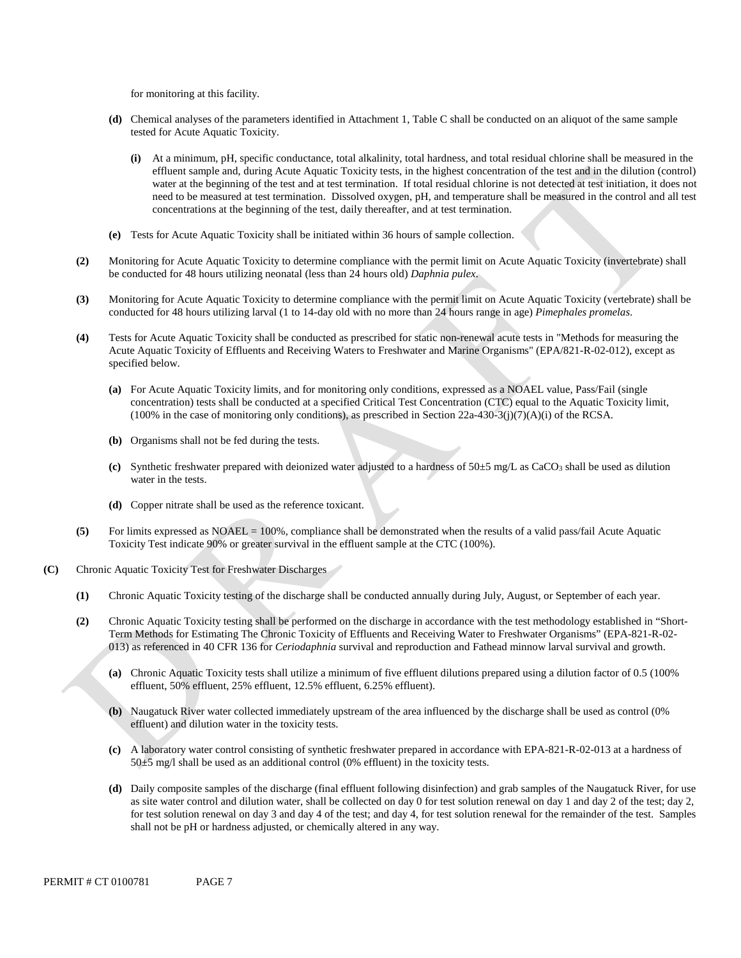for monitoring at this facility.

- **(d)** Chemical analyses of the parameters identified in Attachment 1, Table C shall be conducted on an aliquot of the same sample tested for Acute Aquatic Toxicity.
	- **(i)** At a minimum, pH, specific conductance, total alkalinity, total hardness, and total residual chlorine shall be measured in the effluent sample and, during Acute Aquatic Toxicity tests, in the highest concentration of the test and in the dilution (control) water at the beginning of the test and at test termination. If total residual chlorine is not detected at test initiation, it does not need to be measured at test termination. Dissolved oxygen, pH, and temperature shall be measured in the control and all test concentrations at the beginning of the test, daily thereafter, and at test termination.
- **(e)** Tests for Acute Aquatic Toxicity shall be initiated within 36 hours of sample collection.
- **(2)** Monitoring for Acute Aquatic Toxicity to determine compliance with the permit limit on Acute Aquatic Toxicity (invertebrate) shall be conducted for 48 hours utilizing neonatal (less than 24 hours old) *Daphnia pulex*.
- **(3)** Monitoring for Acute Aquatic Toxicity to determine compliance with the permit limit on Acute Aquatic Toxicity (vertebrate) shall be conducted for 48 hours utilizing larval (1 to 14-day old with no more than 24 hours range in age) *Pimephales promelas*.
- **(4)** Tests for Acute Aquatic Toxicity shall be conducted as prescribed for static non-renewal acute tests in "Methods for measuring the Acute Aquatic Toxicity of Effluents and Receiving Waters to Freshwater and Marine Organisms" (EPA/821-R-02-012), except as specified below.
	- **(a)** For Acute Aquatic Toxicity limits, and for monitoring only conditions, expressed as a NOAEL value, Pass/Fail (single concentration) tests shall be conducted at a specified Critical Test Concentration (CTC) equal to the Aquatic Toxicity limit,  $(100\%$  in the case of monitoring only conditions), as prescribed in Section 22a-430-3(j)(7)(A)(i) of the RCSA.
	- **(b)** Organisms shall not be fed during the tests.
	- **(c)** Synthetic freshwater prepared with deionized water adjusted to a hardness of 50±5 mg/L as CaCO3 shall be used as dilution water in the tests.
	- **(d)** Copper nitrate shall be used as the reference toxicant.
- **(5)** For limits expressed as NOAEL = 100%, compliance shall be demonstrated when the results of a valid pass/fail Acute Aquatic Toxicity Test indicate 90% or greater survival in the effluent sample at the CTC (100%).
- **(C)** Chronic Aquatic Toxicity Test for Freshwater Discharges
	- **(1)** Chronic Aquatic Toxicity testing of the discharge shall be conducted annually during July, August, or September of each year.
	- **(2)** Chronic Aquatic Toxicity testing shall be performed on the discharge in accordance with the test methodology established in "Short-Term Methods for Estimating The Chronic Toxicity of Effluents and Receiving Water to Freshwater Organisms" (EPA-821-R-02 013) as referenced in 40 CFR 136 for *Ceriodaphnia* survival and reproduction and Fathead minnow larval survival and growth.
		- **(a)** Chronic Aquatic Toxicity tests shall utilize a minimum of five effluent dilutions prepared using a dilution factor of 0.5 (100% effluent, 50% effluent, 25% effluent, 12.5% effluent, 6.25% effluent).
		- **(b)** Naugatuck River water collected immediately upstream of the area influenced by the discharge shall be used as control (0% effluent) and dilution water in the toxicity tests.
		- **(c)** A laboratory water control consisting of synthetic freshwater prepared in accordance with EPA-821-R-02-013 at a hardness of  $50±5$  mg/l shall be used as an additional control (0% effluent) in the toxicity tests.
		- **(d)** Daily composite samples of the discharge (final effluent following disinfection) and grab samples of the Naugatuck River, for use as site water control and dilution water, shall be collected on day 0 for test solution renewal on day 1 and day 2 of the test; day 2, for test solution renewal on day 3 and day 4 of the test; and day 4, for test solution renewal for the remainder of the test. Samples shall not be pH or hardness adjusted, or chemically altered in any way.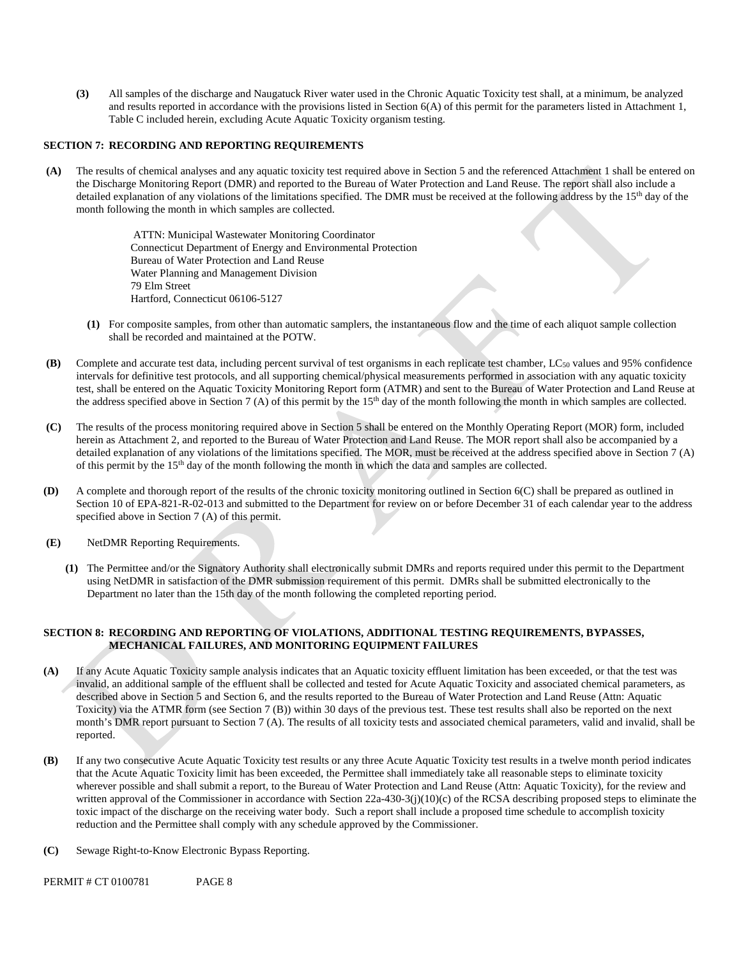**(3)** All samples of the discharge and Naugatuck River water used in the Chronic Aquatic Toxicity test shall, at a minimum, be analyzed and results reported in accordance with the provisions listed in Section 6(A) of this permit for the parameters listed in Attachment 1, Table C included herein, excluding Acute Aquatic Toxicity organism testing.

### **SECTION 7: RECORDING AND REPORTING REQUIREMENTS**

The results of chemical analyses and any aquatic toxicity test required above in Section 5 and the referenced Attachment 1 shall be entered on the Discharge Monitoring Report (DMR) and reported to the Bureau of Water Protection and Land Reuse. The report shall also include a detailed explanation of any violations of the limitations specified. The DMR must be received at the following address by the 15<sup>th</sup> day of the **(A)**  month following the month in which samples are collected.

> ATTN: Municipal Wastewater Monitoring Coordinator Connecticut Department of Energy and Environmental Protection Bureau of Water Protection and Land Reuse Water Planning and Management Division 79 Elm Street Hartford, Connecticut 06106-5127

- For composite samples, from other than automatic samplers, the instantaneous flow and the time of each aliquot sample collection **(1)**  shall be recorded and maintained at the POTW.
- **(B)** Complete and accurate test data, including percent survival of test organisms in each replicate test chamber, LC<sub>50</sub> values and 95% confidence intervals for definitive test protocols, and all supporting chemical/physical measurements performed in association with any aquatic toxicity test, shall be entered on the Aquatic Toxicity Monitoring Report form (ATMR) and sent to the Bureau of Water Protection and Land Reuse at the address specified above in Section 7 (A) of this permit by the 15<sup>th</sup> day of the month following the month in which samples are collected.
- **(C)** The results of the process monitoring required above in Section 5 shall be entered on the Monthly Operating Report (MOR) form, included herein as Attachment 2, and reported to the Bureau of Water Protection and Land Reuse. The MOR report shall also be accompanied by a detailed explanation of any violations of the limitations specified. The MOR, must be received at the address specified above in Section 7 (A) of this permit by the 15<sup>th</sup> day of the month following the month in which the data and samples are collected.
- **(D)** A complete and thorough report of the results of the chronic toxicity monitoring outlined in Section 6(C) shall be prepared as outlined in Section 10 of EPA-821-R-02-013 and submitted to the Department for review on or before December 31 of each calendar year to the address specified above in Section 7 (A) of this permit.
- **(E)** NetDMR Reporting Requirements.
	- **(1)** The Permittee and/or the Signatory Authority shall electronically submit DMRs and reports required under this permit to the Department using NetDMR in satisfaction of the DMR submission requirement of this permit. DMRs shall be submitted electronically to the Department no later than the 15th day of the month following the completed reporting period.

### **SECTION 8: RECORDING AND REPORTING OF VIOLATIONS, ADDITIONAL TESTING REQUIREMENTS, BYPASSES, MECHANICAL FAILURES, AND MONITORING EQUIPMENT FAILURES**

- **(A)** If any Acute Aquatic Toxicity sample analysis indicates that an Aquatic toxicity effluent limitation has been exceeded, or that the test was invalid, an additional sample of the effluent shall be collected and tested for Acute Aquatic Toxicity and associated chemical parameters, as described above in Section 5 and Section 6, and the results reported to the Bureau of Water Protection and Land Reuse (Attn: Aquatic Toxicity) via the ATMR form (see Section 7 (B)) within 30 days of the previous test. These test results shall also be reported on the next month's DMR report pursuant to Section 7 (A). The results of all toxicity tests and associated chemical parameters, valid and invalid, shall be reported.
- **(B)** If any two consecutive Acute Aquatic Toxicity test results or any three Acute Aquatic Toxicity test results in a twelve month period indicates that the Acute Aquatic Toxicity limit has been exceeded, the Permittee shall immediately take all reasonable steps to eliminate toxicity wherever possible and shall submit a report, to the Bureau of Water Protection and Land Reuse (Attn: Aquatic Toxicity), for the review and written approval of the Commissioner in accordance with Section 22a-430-3(j)(10)(c) of the RCSA describing proposed steps to eliminate the toxic impact of the discharge on the receiving water body. Such a report shall include a proposed time schedule to accomplish toxicity reduction and the Permittee shall comply with any schedule approved by the Commissioner.
- **(C)** Sewage Right-to-Know Electronic Bypass Reporting.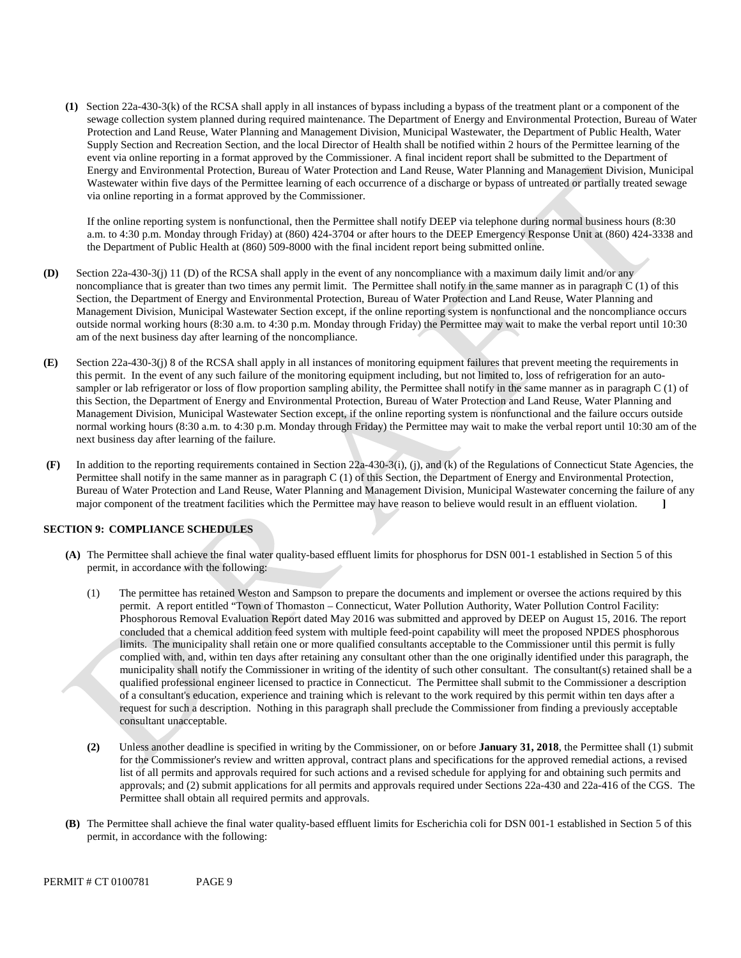**(1)** Section 22a-430-3(k) of the RCSA shall apply in all instances of bypass including a bypass of the treatment plant or a component of the sewage collection system planned during required maintenance. The Department of Energy and Environmental Protection, Bureau of Water Protection and Land Reuse, Water Planning and Management Division, Municipal Wastewater, the Department of Public Health, Water Supply Section and Recreation Section, and the local Director of Health shall be notified within 2 hours of the Permittee learning of the event via online reporting in a format approved by the Commissioner. A final incident report shall be submitted to the Department of Energy and Environmental Protection, Bureau of Water Protection and Land Reuse, Water Planning and Management Division, Municipal Wastewater within five days of the Permittee learning of each occurrence of a discharge or bypass of untreated or partially treated sewage via online reporting in a format approved by the Commissioner.

If the online reporting system is nonfunctional, then the Permittee shall notify DEEP via telephone during normal business hours (8:30 a.m. to 4:30 p.m. Monday through Friday) at (860) 424-3704 or after hours to the DEEP Emergency Response Unit at (860) 424-3338 and the Department of Public Health at (860) 509-8000 with the final incident report being submitted online.

- Section 22a-430-3(j) 11 (D) of the RCSA shall apply in the event of any noncompliance with a maximum daily limit and/or any noncompliance that is greater than two times any permit limit. The Permittee shall notify in the same manner as in paragraph  $C(1)$  of this Section, the Department of Energy and Environmental Protection, Bureau of Water Protection and Land Reuse, Water Planning and **(D)**  Management Division, Municipal Wastewater Section except, if the online reporting system is nonfunctional and the noncompliance occurs outside normal working hours (8:30 a.m. to 4:30 p.m. Monday through Friday) the Permittee may wait to make the verbal report until 10:30 am of the next business day after learning of the noncompliance.
- **(E)** Section 22a-430-3(j) 8 of the RCSA shall apply in all instances of monitoring equipment failures that prevent meeting the requirements in this permit. In the event of any such failure of the monitoring equipment including, but not limited to, loss of refrigeration for an autosampler or lab refrigerator or loss of flow proportion sampling ability, the Permittee shall notify in the same manner as in paragraph C (1) of this Section, the Department of Energy and Environmental Protection, Bureau of Water Protection and Land Reuse, Water Planning and Management Division, Municipal Wastewater Section except, if the online reporting system is nonfunctional and the failure occurs outside normal working hours (8:30 a.m. to 4:30 p.m. Monday through Friday) the Permittee may wait to make the verbal report until 10:30 am of the next business day after learning of the failure.
- **(F)** In addition to the reporting requirements contained in Section 22a-430-3(i), (j), and (k) of the Regulations of Connecticut State Agencies, the Permittee shall notify in the same manner as in paragraph C (1) of this Section, the Department of Energy and Environmental Protection, Bureau of Water Protection and Land Reuse, Water Planning and Management Division, Municipal Wastewater concerning the failure of any major component of the treatment facilities which the Permittee may have reason to believe would result in an effluent violation. **]**

### **SECTION 9: COMPLIANCE SCHEDULES**

- **(A)** The Permittee shall achieve the final water quality-based effluent limits for phosphorus for DSN 001-1 established in Section 5 of this permit, in accordance with the following:
	- (1) The permittee has retained Weston and Sampson to prepare the documents and implement or oversee the actions required by this permit. A report entitled "Town of Thomaston – Connecticut, Water Pollution Authority, Water Pollution Control Facility: Phosphorous Removal Evaluation Report dated May 2016 was submitted and approved by DEEP on August 15, 2016. The report concluded that a chemical addition feed system with multiple feed-point capability will meet the proposed NPDES phosphorous limits. The municipality shall retain one or more qualified consultants acceptable to the Commissioner until this permit is fully complied with, and, within ten days after retaining any consultant other than the one originally identified under this paragraph, the municipality shall notify the Commissioner in writing of the identity of such other consultant. The consultant(s) retained shall be a qualified professional engineer licensed to practice in Connecticut. The Permittee shall submit to the Commissioner a description of a consultant's education, experience and training which is relevant to the work required by this permit within ten days after a request for such a description. Nothing in this paragraph shall preclude the Commissioner from finding a previously acceptable consultant unacceptable.
	- **(2)**  for the Commissioner 's review and written approval, contract plans and specifications for the approved remedial actions, a revised Unless another deadline is specified in writing by the Commissioner, on or before **January 31, 2018**, the Permittee shall (1) submit list of all permits and approvals required for such actions and a revised schedule for applying for and obtaining such permits and approvals; and (2) submit applications for all permits and approvals required under Sections 22a-430 and 22a-416 of the CGS. The Permittee shall obtain all required permits and approvals.
- **(B)** The Permittee shall achieve the final water quality-based effluent limits for Escherichia coli for DSN 001-1 established in Section 5 of this permit, in accordance with the following: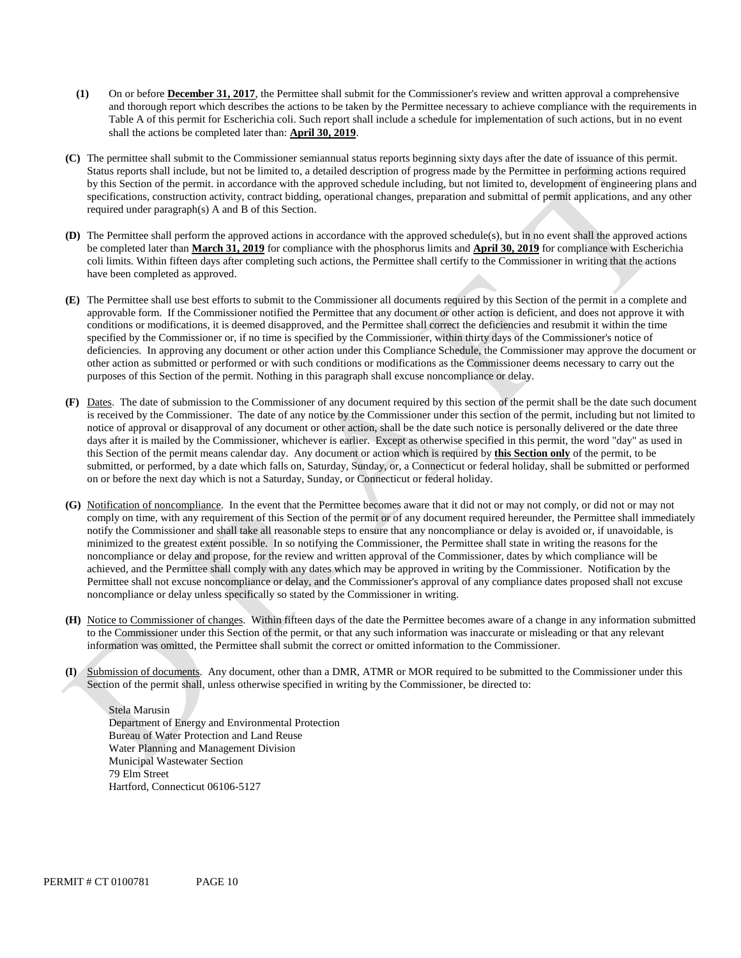- **(1)** On or before **December 31, 2017**, the Permittee shall submit for the Commissioner's review and written approval a comprehensive and thorough report which describes the actions to be taken by the Permittee necessary to achieve compliance with the requirements in Table A of this permit for Escherichia coli. Such report shall include a schedule for implementation of such actions, but in no event shall the actions be completed later than: **April 30, 2019**.
- **(C)** The permittee shall submit to the Commissioner semiannual status reports beginning sixty days after the date of issuance of this permit. Status reports shall include, but not be limited to, a detailed description of progress made by the Permittee in performing actions required by this Section of the permit. in accordance with the approved schedule including, but not limited to, development of engineering plans and specifications, construction activity, contract bidding, operational changes, preparation and submittal of permit applications, and any other required under paragraph(s) A and B of this Section.
- **(D)** The Permittee shall perform the approved actions in accordance with the approved schedule(s), but in no event shall the approved actions be completed later than **March 31, 2019** for compliance with the phosphorus limits and **April 30, 2019** for compliance with Escherichia coli limits. Within fifteen days after completing such actions, the Permittee shall certify to the Commissioner in writing that the actions have been completed as approved.
- **(E)** The Permittee shall use best efforts to submit to the Commissioner all documents required by this Section of the permit in a complete and approvable form. If the Commissioner notified the Permittee that any document or other action is deficient, and does not approve it with conditions or modifications, it is deemed disapproved, and the Permittee shall correct the deficiencies and resubmit it within the time specified by the Commissioner or, if no time is specified by the Commissioner, within thirty days of the Commissioner's notice of deficiencies. In approving any document or other action under this Compliance Schedule, the Commissioner may approve the document or other action as submitted or performed or with such conditions or modifications as the Commissioner deems necessary to carry out the purposes of this Section of the permit. Nothing in this paragraph shall excuse noncompliance or delay.
- **(F)** Dates. The date of submission to the Commissioner of any document required by this section of the permit shall be the date such document is received by the Commissioner. The date of any notice by the Commissioner under this section of the permit, including but not limited to notice of approval or disapproval of any document or other action, shall be the date such notice is personally delivered or the date three days after it is mailed by the Commissioner, whichever is earlier. Except as otherwise specified in this permit, the word "day" as used in this Section of the permit means calendar day. Any document or action which is required by **this Section only** of the permit, to be submitted, or performed, by a date which falls on, Saturday, Sunday, or, a Connecticut or federal holiday, shall be submitted or performed on or before the next day which is not a Saturday, Sunday, or Connecticut or federal holiday.
- **(G)** Notification of noncompliance. In the event that the Permittee becomes aware that it did not or may not comply, or did not or may not comply on time, with any requirement of this Section of the permit or of any document required hereunder, the Permittee shall immediately notify the Commissioner and shall take all reasonable steps to ensure that any noncompliance or delay is avoided or, if unavoidable, is minimized to the greatest extent possible. In so notifying the Commissioner, the Permittee shall state in writing the reasons for the noncompliance or delay and propose, for the review and written approval of the Commissioner, dates by which compliance will be achieved, and the Permittee shall comply with any dates which may be approved in writing by the Commissioner. Notification by the Permittee shall not excuse noncompliance or delay, and the Commissioner's approval of any compliance dates proposed shall not excuse noncompliance or delay unless specifically so stated by the Commissioner in writing.
- **(H)** Notice to Commissioner of changes. Within fifteen days of the date the Permittee becomes aware of a change in any information submitted to the Commissioner under this Section of the permit, or that any such information was inaccurate or misleading or that any relevant information was omitted, the Permittee shall submit the correct or omitted information to the Commissioner.
- **(I)** Submission of documents. Any document, other than a DMR, ATMR or MOR required to be submitted to the Commissioner under this Section of the permit shall, unless otherwise specified in writing by the Commissioner, be directed to:

Stela Marusin Department of Energy and Environmental Protection Bureau of Water Protection and Land Reuse Water Planning and Management Division Municipal Wastewater Section 79 Elm Street Hartford, Connecticut 06106-5127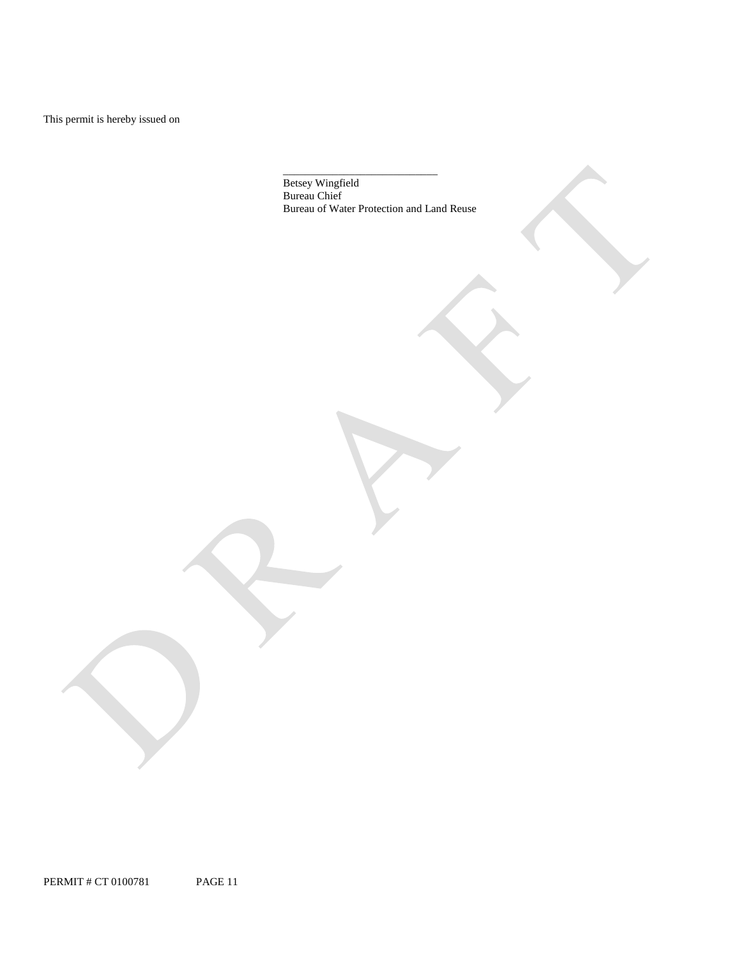This permit is hereby issued on

\_\_\_\_\_\_\_\_\_\_\_\_\_\_\_\_\_\_\_\_\_\_\_\_\_\_\_\_ Betsey Wingfield Bureau Chief Bureau of Water Protection and Land Reuse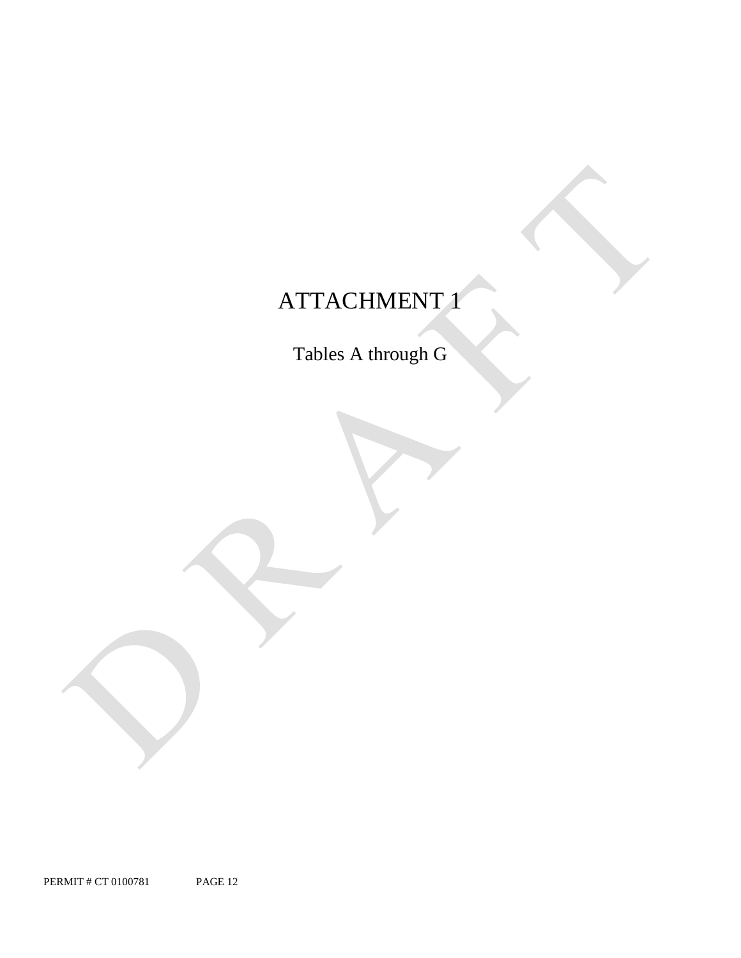# ATTACHMENT 1

Tables A through G

PERMIT # CT 0100781 PAGE 12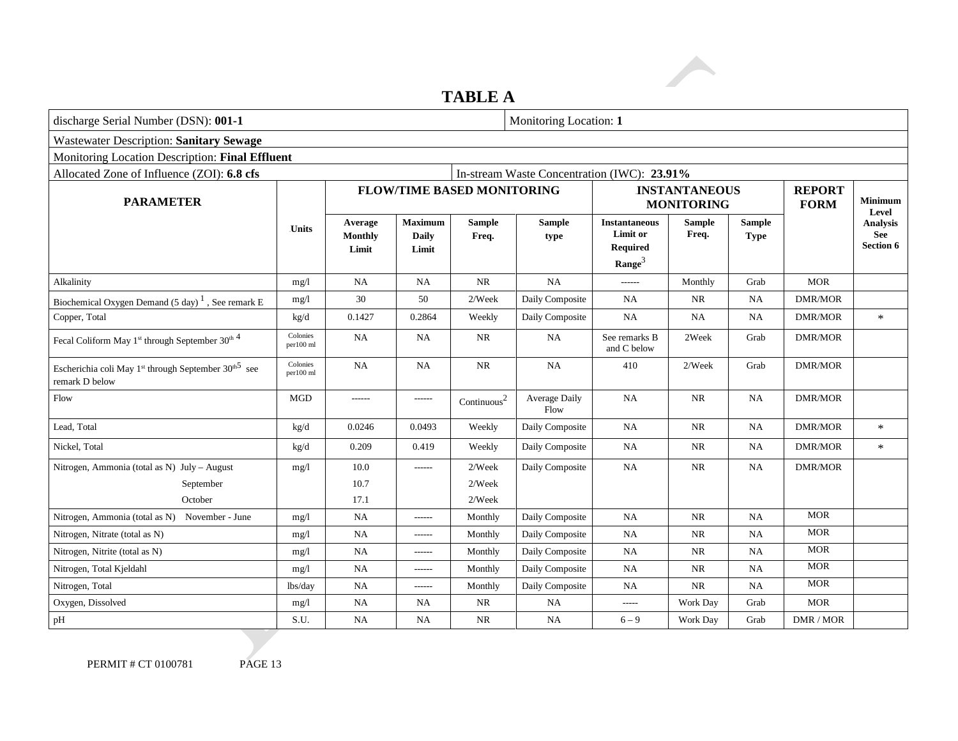### **TABLE A**

| discharge Serial Number (DSN): 001-1                                                 |                       | Monitoring Location: 1             |                                         |                        |                                             |                                                                  |                                           |                              |                |                                     |
|--------------------------------------------------------------------------------------|-----------------------|------------------------------------|-----------------------------------------|------------------------|---------------------------------------------|------------------------------------------------------------------|-------------------------------------------|------------------------------|----------------|-------------------------------------|
| <b>Wastewater Description: Sanitary Sewage</b>                                       |                       |                                    |                                         |                        |                                             |                                                                  |                                           |                              |                |                                     |
| Monitoring Location Description: Final Effluent                                      |                       |                                    |                                         |                        |                                             |                                                                  |                                           |                              |                |                                     |
| Allocated Zone of Influence (ZOI): 6.8 cfs                                           |                       |                                    |                                         |                        | In-stream Waste Concentration (IWC): 23.91% |                                                                  |                                           |                              |                |                                     |
| <b>PARAMETER</b>                                                                     |                       |                                    | <b>FLOW/TIME BASED MONITORING</b>       |                        |                                             |                                                                  | <b>INSTANTANEOUS</b><br><b>MONITORING</b> |                              |                | <b>Minimum</b><br>Level             |
|                                                                                      | <b>Units</b>          | Average<br><b>Monthly</b><br>Limit | <b>Maximum</b><br><b>Daily</b><br>Limit | <b>Sample</b><br>Freq. | <b>Sample</b><br>type                       | <b>Instantaneous</b><br>Limit or<br><b>Required</b><br>Range $3$ | <b>Sample</b><br>Freq.                    | <b>Sample</b><br><b>Type</b> |                | <b>Analysis</b><br>See<br>Section 6 |
| Alkalinity                                                                           | mg/l                  | NA                                 | NA                                      | NR                     | NA                                          | $---$                                                            | Monthly                                   | Grab                         | <b>MOR</b>     |                                     |
| Biochemical Oxygen Demand $(5 \text{ day})^1$ , See remark E                         | mg/l                  | 30                                 | 50                                      | 2/Week                 | Daily Composite                             | <b>NA</b>                                                        | <b>NR</b>                                 | <b>NA</b>                    | <b>DMR/MOR</b> |                                     |
| Copper, Total                                                                        | kg/d                  | 0.1427                             | 0.2864                                  | Weekly                 | Daily Composite                             | NA                                                               | <b>NA</b>                                 | NA                           | <b>DMR/MOR</b> | $\ast$                              |
| Fecal Coliform May 1 <sup>st</sup> through September 30 <sup>th 4</sup>              | Colonies<br>per100 ml | NA                                 | <b>NA</b>                               | <b>NR</b>              | NA                                          | See remarks B<br>and C below                                     | 2Week                                     | Grab                         | <b>DMR/MOR</b> |                                     |
| Escherichia coli May 1 <sup>st</sup> through September $30th5$ see<br>remark D below | Colonies<br>per100 ml | NA                                 | <b>NA</b>                               | $\rm NR$               | NA                                          | 410                                                              | $2$ /Week                                 | Grab                         | <b>DMR/MOR</b> |                                     |
| Flow                                                                                 | <b>MGD</b>            | ------                             | ------                                  | $\mbox{Continuous}^2$  | Average Daily<br>Flow                       | NA                                                               | <b>NR</b>                                 | NA                           | <b>DMR/MOR</b> |                                     |
| Lead, Total                                                                          | kg/d                  | 0.0246                             | 0.0493                                  | Weekly                 | Daily Composite                             | <b>NA</b>                                                        | <b>NR</b>                                 | NA                           | <b>DMR/MOR</b> | $\ast$                              |
| Nickel, Total                                                                        | kg/d                  | 0.209                              | 0.419                                   | Weekly                 | Daily Composite                             | NA                                                               | NR                                        | NA                           | <b>DMR/MOR</b> | $\ast$                              |
| Nitrogen, Ammonia (total as N) July - August<br>September                            | mg/l                  | 10.0<br>10.7                       | ------                                  | 2/Week<br>2/Week       | Daily Composite                             | <b>NA</b>                                                        | <b>NR</b>                                 | NA                           | <b>DMR/MOR</b> |                                     |
| October                                                                              |                       | 17.1                               |                                         | 2/Week                 |                                             |                                                                  |                                           |                              |                |                                     |
| Nitrogen, Ammonia (total as N) November - June                                       | mg/l                  | NA                                 | ------                                  | Monthly                | Daily Composite                             | NA                                                               | $\rm NR$                                  | $\rm NA$                     | <b>MOR</b>     |                                     |
| Nitrogen, Nitrate (total as N)                                                       | mg/l                  | NA                                 | ------                                  | Monthly                | Daily Composite                             | NA                                                               | $\rm NR$                                  | <b>NA</b>                    | <b>MOR</b>     |                                     |
| Nitrogen, Nitrite (total as N)                                                       | mg/1                  | NA                                 | ------                                  | Monthly                | Daily Composite                             | <b>NA</b>                                                        | $\rm NR$                                  | NA                           | <b>MOR</b>     |                                     |
| Nitrogen, Total Kjeldahl                                                             | mg/l                  | NA                                 | ------                                  | Monthly                | Daily Composite                             | <b>NA</b>                                                        | $\rm NR$                                  | <b>NA</b>                    | <b>MOR</b>     |                                     |
| Nitrogen, Total                                                                      | lbs/day               | NA                                 | ------                                  | Monthly                | Daily Composite                             | <b>NA</b>                                                        | $\rm NR$                                  | NA                           | <b>MOR</b>     |                                     |
| Oxygen, Dissolved                                                                    | mg/1                  | NA                                 | <b>NA</b>                               | NR                     | <b>NA</b>                                   | $-----$                                                          | Work Day                                  | Grab                         | <b>MOR</b>     |                                     |
| pH                                                                                   | S.U.                  | NA                                 | NA                                      | <b>NR</b>              | NA                                          | $6 - 9$                                                          | Work Day                                  | Grab                         | DMR / MOR      |                                     |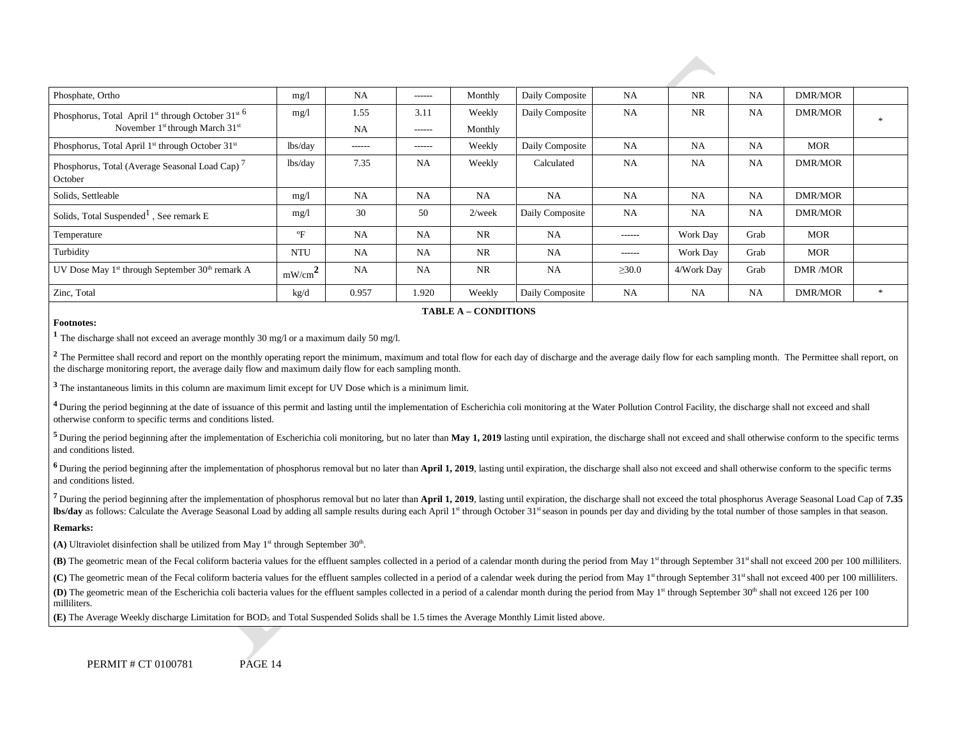| Phosphate, Ortho                                                           | mg/1               | <b>NA</b> | $- - - - - -$ | Monthly   | Daily Composite | <b>NA</b>     | <b>NR</b>  | <b>NA</b> | DMR/MOR    |               |
|----------------------------------------------------------------------------|--------------------|-----------|---------------|-----------|-----------------|---------------|------------|-----------|------------|---------------|
| Phosphorus, Total April 1 <sup>st</sup> through October 31 <sup>st 6</sup> | mg/1               | 1.55      | 3.11          | Weekly    | Daily Composite | <b>NA</b>     | <b>NR</b>  | <b>NA</b> | DMR/MOR    |               |
| November 1 <sup>st</sup> through March 31 <sup>st</sup>                    |                    | <b>NA</b> | $- - - - - -$ | Monthly   |                 |               |            |           |            |               |
| Phosphorus, Total April 1 <sup>st</sup> through October 31 <sup>st</sup>   | lbs/day            | -------   | ------        | Weekly    | Daily Composite | <b>NA</b>     | NA         | <b>NA</b> | <b>MOR</b> |               |
| Phosphorus, Total (Average Seasonal Load Cap)                              | lbs/day            | 7.35      | <b>NA</b>     | Weekly    | Calculated      | NA            | NA         | <b>NA</b> | DMR/MOR    |               |
| October                                                                    |                    |           |               |           |                 |               |            |           |            |               |
| Solids, Settleable                                                         | mg/1               | <b>NA</b> | <b>NA</b>     | <b>NA</b> | <b>NA</b>       | <b>NA</b>     | <b>NA</b>  | <b>NA</b> | DMR/MOR    |               |
| Solids, Total Suspended <sup>1</sup> , See remark E                        | mg/1               | 30        | 50            | $2$ /week | Daily Composite | <b>NA</b>     | <b>NA</b>  | <b>NA</b> | DMR/MOR    |               |
| Temperature                                                                | $\mathrm{P}$       | <b>NA</b> | <b>NA</b>     | <b>NR</b> | <b>NA</b>       | $- - - - - -$ | Work Day   | Grab      | <b>MOR</b> |               |
| Turbidity                                                                  | <b>NTU</b>         | <b>NA</b> | <b>NA</b>     | <b>NR</b> | NA              | $- - - - - -$ | Work Day   | Grab      | <b>MOR</b> |               |
| UV Dose May 1 <sup>st</sup> through September 30 <sup>th</sup> remark A    | mW/cm <sup>2</sup> | <b>NA</b> | <b>NA</b>     | <b>NR</b> | NA              | $\geq 30.0$   | 4/Work Day | Grab      | DMR /MOR   |               |
| Zinc, Total                                                                | kg/d               | 0.957     | 1.920         | Weekly    | Daily Composite | <b>NA</b>     | <b>NA</b>  | <b>NA</b> | DMR/MOR    | $\frac{1}{2}$ |

6B**TABLE A – CONDITIONS** 

#### **Footnotes:**

**<sup>1</sup>**The discharge shall not exceed an average monthly 30 mg/l or a maximum daily 50 mg/l.

<sup>2</sup> The Permittee shall record and report on the monthly operating report the minimum, maximum and total flow for each day of discharge and the average daily flow for each sampling month. The Permittee shall report, on the discharge monitoring report, the average daily flow and maximum daily flow for each sampling month.

**<sup>3</sup>**The instantaneous limits in this column are maximum limit except for UV Dose which is a minimum limit.

 **<sup>4</sup>**During the period beginning at the date of issuance of this permit and lasting until the implementation of Escherichia coli monitoring at the Water Pollution Control Facility, the discharge shall not exceed and shall otherwise conform to specific terms and conditions listed.

<sup>5</sup> During the period beginning after the implementation of Escherichia coli monitoring, but no later than May 1, 2019 lasting until expiration, the discharge shall not exceed and shall otherwise conform to the specific te and conditions listed.

<sup>6</sup> During the period beginning after the implementation of phosphorus removal but no later than April 1, 2019, lasting until expiration, the discharge shall also not exceed and shall otherwise conform to the specific term and conditions listed.

<sup>7</sup> During the period beginning after the implementation of phosphorus removal but no later than April 1, 2019, lasting until expiration, the discharge shall not exceed the total phosphorus Average Seasonal Load Cap of 7.3 Ibs/day as follows: Calculate the Average Seasonal Load by adding all sample results during each April 1<sup>st</sup> through October 31<sup>st</sup> season in pounds per day and dividing by the total number of those samples in that season.

#### **Remarks:**

**(A)** Ultraviolet disinfection shall be utilized from May  $1<sup>st</sup>$  through September  $30<sup>th</sup>$ .

(B) The geometric mean of the Fecal coliform bacteria values for the effluent samples collected in a period of a calendar month during the period from May 1<sup>st</sup> through September 31<sup>st</sup> shall not exceed 200 per 100 millilt

(C) The geometric mean of the Fecal coliform bacteria values for the effluent samples collected in a period of a calendar week during the period from May 1<sup>st</sup> through September 31<sup>st</sup> shall not exceed 400 per 100 millilte

(D) The geometric mean of the Escherichia coli bacteria values for the effluent samples collected in a period of a calendar month during the period from May 1<sup>st</sup> through September 30<sup>th</sup> shall not exceed 126 per 100 milliliters.

**(E)** The Average Weekly discharge Limitation for BOD5 and Total Suspended Solids shall be 1.5 times the Average Monthly Limit listed above.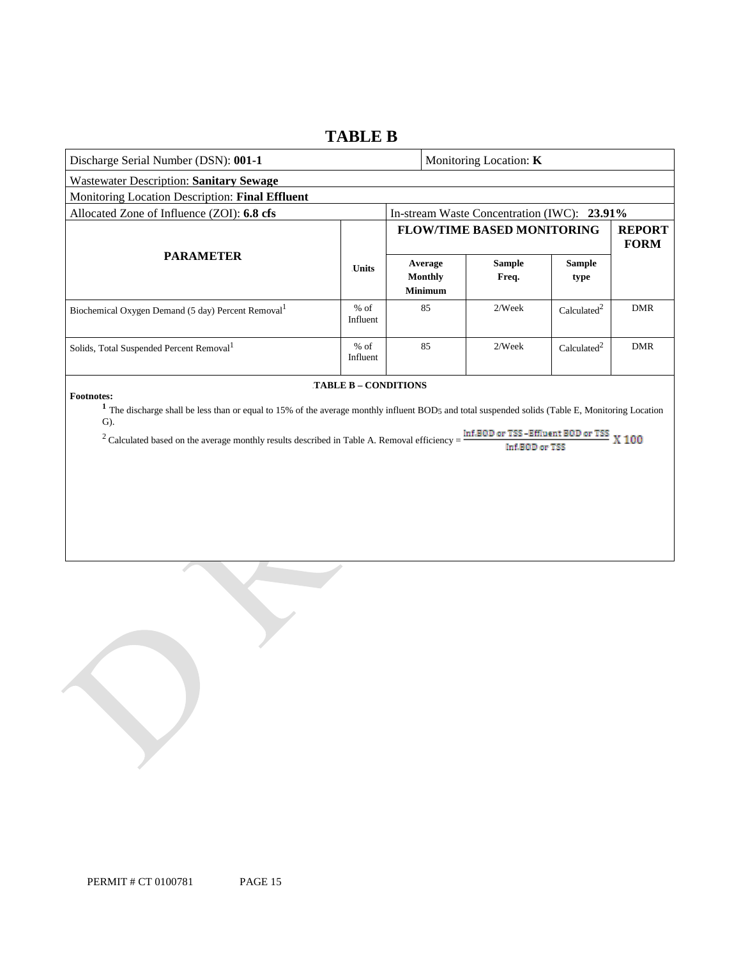### **TABLE B**

| Discharge Serial Number (DSN): 001-1                                                                                                                                                                                                                                                                              |                      |  | Monitoring Location: K                      |                                                      |                         |                              |  |  |
|-------------------------------------------------------------------------------------------------------------------------------------------------------------------------------------------------------------------------------------------------------------------------------------------------------------------|----------------------|--|---------------------------------------------|------------------------------------------------------|-------------------------|------------------------------|--|--|
| <b>Wastewater Description: Sanitary Sewage</b>                                                                                                                                                                                                                                                                    |                      |  |                                             |                                                      |                         |                              |  |  |
| <b>Monitoring Location Description: Final Effluent</b>                                                                                                                                                                                                                                                            |                      |  |                                             |                                                      |                         |                              |  |  |
| Allocated Zone of Influence (ZOI): 6.8 cfs                                                                                                                                                                                                                                                                        |                      |  |                                             | In-stream Waste Concentration (IWC): 23.91%          |                         |                              |  |  |
|                                                                                                                                                                                                                                                                                                                   |                      |  |                                             | <b>FLOW/TIME BASED MONITORING</b>                    |                         | <b>REPORT</b><br><b>FORM</b> |  |  |
| <b>PARAMETER</b>                                                                                                                                                                                                                                                                                                  | <b>Units</b>         |  | Average<br><b>Monthly</b><br><b>Minimum</b> | <b>Sample</b><br>Freq.                               | <b>Sample</b><br>type   |                              |  |  |
| Biochemical Oxygen Demand (5 day) Percent Removal <sup>1</sup>                                                                                                                                                                                                                                                    | $%$ of<br>Influent   |  | 85                                          | 2/Week                                               | Calculated <sup>2</sup> | <b>DMR</b>                   |  |  |
| Solids, Total Suspended Percent Removal <sup>1</sup>                                                                                                                                                                                                                                                              | $%$ of<br>Influent   |  | 85                                          | 2/Week                                               | Calculated <sup>2</sup> | <b>DMR</b>                   |  |  |
| <b>Footnotes:</b><br><sup>1</sup> The discharge shall be less than or equal to 15% of the average monthly influent BOD <sub>5</sub> and total suspended solids (Table E, Monitoring Location<br>$G$ ).<br><sup>2</sup> Calculated based on the average monthly results described in Table A. Removal efficiency = | TABLE B - CONDITIONS |  |                                             | Inf.BOD or TSS-Effluent BOD or TSS<br>Inf.BOD or TSS |                         | X 100                        |  |  |

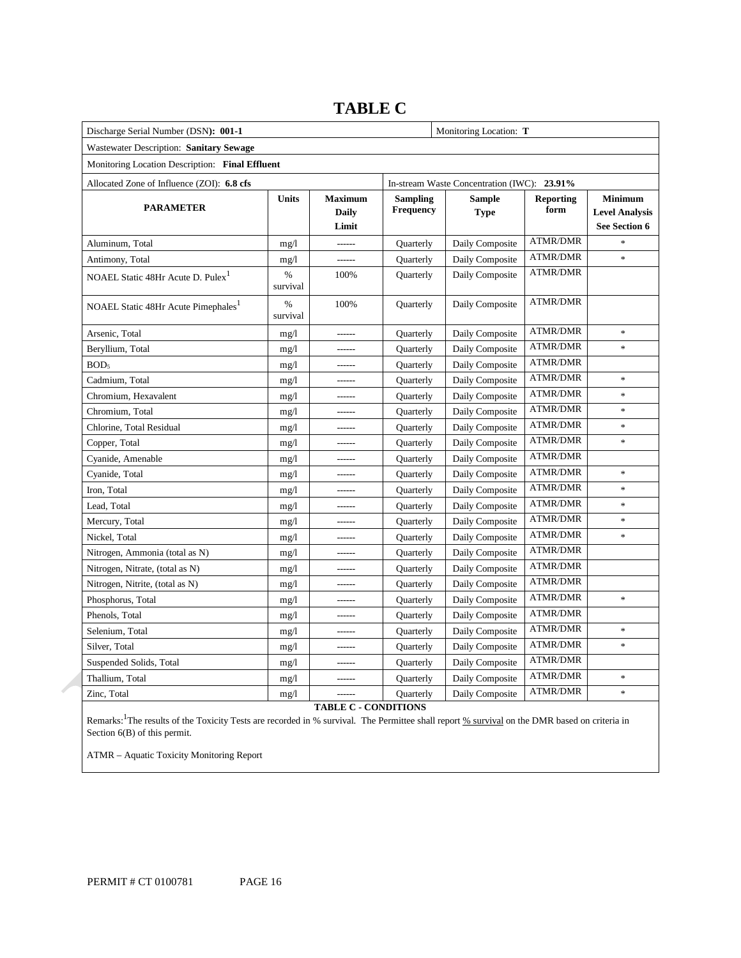| Discharge Serial Number (DSN): 001-1            |                  | Monitoring Location: T                  |                                             |                              |                          |                                                          |  |  |
|-------------------------------------------------|------------------|-----------------------------------------|---------------------------------------------|------------------------------|--------------------------|----------------------------------------------------------|--|--|
| Wastewater Description: Sanitary Sewage         |                  |                                         |                                             |                              |                          |                                                          |  |  |
| Monitoring Location Description: Final Effluent |                  |                                         |                                             |                              |                          |                                                          |  |  |
| Allocated Zone of Influence (ZOI): 6.8 cfs      |                  |                                         | In-stream Waste Concentration (IWC): 23.91% |                              |                          |                                                          |  |  |
| <b>PARAMETER</b>                                | <b>Units</b>     | <b>Maximum</b><br><b>Daily</b><br>Limit | <b>Sampling</b><br><b>Frequency</b>         | <b>Sample</b><br><b>Type</b> | <b>Reporting</b><br>form | <b>Minimum</b><br><b>Level Analysis</b><br>See Section 6 |  |  |
| Aluminum, Total                                 | mg/1             |                                         | Quarterly                                   | Daily Composite              | <b>ATMR/DMR</b>          | $\ast$                                                   |  |  |
| Antimony, Total                                 | mg/1             |                                         | Quarterly                                   | Daily Composite              | <b>ATMR/DMR</b>          | ×                                                        |  |  |
| NOAEL Static 48Hr Acute D. Pulex <sup>1</sup>   | %<br>survival    | 100%                                    | Quarterly                                   | Daily Composite              | <b>ATMR/DMR</b>          |                                                          |  |  |
| NOAEL Static 48Hr Acute Pimephales <sup>1</sup> | $\%$<br>survival | 100%                                    | Quarterly                                   | Daily Composite              | <b>ATMR/DMR</b>          |                                                          |  |  |
| Arsenic, Total                                  | mg/1             | ------                                  | Quarterly                                   | Daily Composite              | <b>ATMR/DMR</b>          | $\frac{1}{2}$                                            |  |  |
| Beryllium, Total                                | mg/1             |                                         | Quarterly                                   | Daily Composite              | <b>ATMR/DMR</b>          | $\ast$                                                   |  |  |
| BOD <sub>5</sub>                                | mg/1             | ------                                  | Quarterly                                   | Daily Composite              | <b>ATMR/DMR</b>          |                                                          |  |  |
| Cadmium, Total                                  | mg/1             |                                         | Quarterly                                   | Daily Composite              | <b>ATMR/DMR</b>          | $\ast$                                                   |  |  |
| Chromium, Hexavalent                            | mg/1             | ------                                  | Quarterly                                   | Daily Composite              | ATMR/DMR                 | $\frac{1}{2}$                                            |  |  |
| Chromium, Total                                 | mg/1             |                                         | Quarterly                                   | Daily Composite              | <b>ATMR/DMR</b>          | $\ast$                                                   |  |  |
| Chlorine, Total Residual                        | mg/1             | ------                                  | Quarterly                                   | Daily Composite              | <b>ATMR/DMR</b>          | $\frac{1}{2}$                                            |  |  |
| Copper, Total                                   | mg/1             |                                         | Quarterly                                   | Daily Composite              | <b>ATMR/DMR</b>          | $\ast$                                                   |  |  |
| Cyanide, Amenable                               | mg/1             | ------                                  | Quarterly                                   | Daily Composite              | <b>ATMR/DMR</b>          |                                                          |  |  |
| Cyanide, Total                                  | mg/1             |                                         | Quarterly                                   | Daily Composite              | <b>ATMR/DMR</b>          | $\frac{1}{2}$                                            |  |  |
| Iron, Total                                     | mg/1             | ------                                  | Quarterly                                   | Daily Composite              | <b>ATMR/DMR</b>          | $\ast$                                                   |  |  |
| Lead, Total                                     | mg/1             |                                         | Quarterly                                   | Daily Composite              | <b>ATMR/DMR</b>          | $\ast$                                                   |  |  |
| Mercury, Total                                  | mg/1             | ------                                  | Quarterly                                   | Daily Composite              | <b>ATMR/DMR</b>          | $\ast$                                                   |  |  |
| Nickel, Total                                   | mg/1             |                                         | Quarterly                                   | Daily Composite              | <b>ATMR/DMR</b>          | ×                                                        |  |  |
| Nitrogen, Ammonia (total as N)                  | mg/1             | ------                                  | Quarterly                                   | Daily Composite              | <b>ATMR/DMR</b>          |                                                          |  |  |
| Nitrogen, Nitrate, (total as N)                 | mg/1             |                                         | Quarterly                                   | Daily Composite              | <b>ATMR/DMR</b>          |                                                          |  |  |
| Nitrogen, Nitrite, (total as N)                 | mg/1             | ------                                  | Quarterly                                   | Daily Composite              | <b>ATMR/DMR</b>          |                                                          |  |  |
| Phosphorus, Total                               | mg/1             |                                         | Quarterly                                   | Daily Composite              | <b>ATMR/DMR</b>          | $\ast$                                                   |  |  |
| Phenols, Total                                  | mg/1             | ------                                  | Quarterly                                   | Daily Composite              | <b>ATMR/DMR</b>          |                                                          |  |  |
| Selenium, Total                                 | mg/1             |                                         | Quarterly                                   | Daily Composite              | <b>ATMR/DMR</b>          | $\frac{1}{2}$                                            |  |  |
| Silver, Total                                   | mg/1             | ------                                  | Quarterly                                   | Daily Composite              | <b>ATMR/DMR</b>          | $\ast$                                                   |  |  |
| Suspended Solids, Total                         | mg/1             |                                         | Quarterly                                   | Daily Composite              | <b>ATMR/DMR</b>          |                                                          |  |  |
| Thallium, Total                                 | mg/1             | ------                                  | Quarterly                                   | Daily Composite              | <b>ATMR/DMR</b>          | $\ast$                                                   |  |  |
| Zinc, Total                                     | mg/1             |                                         | Quarterly                                   | Daily Composite              | <b>ATMR/DMR</b>          | $\ast$                                                   |  |  |

### **TABLE C**

**TABLE C - CONDITIONS** 

Remarks: <sup>1</sup>The results of the Toxicity Tests are recorded in % survival. The Permittee shall report % survival on the DMR based on criteria in Section 6(B) of this permit.

ATMR – Aquatic Toxicity Monitoring Report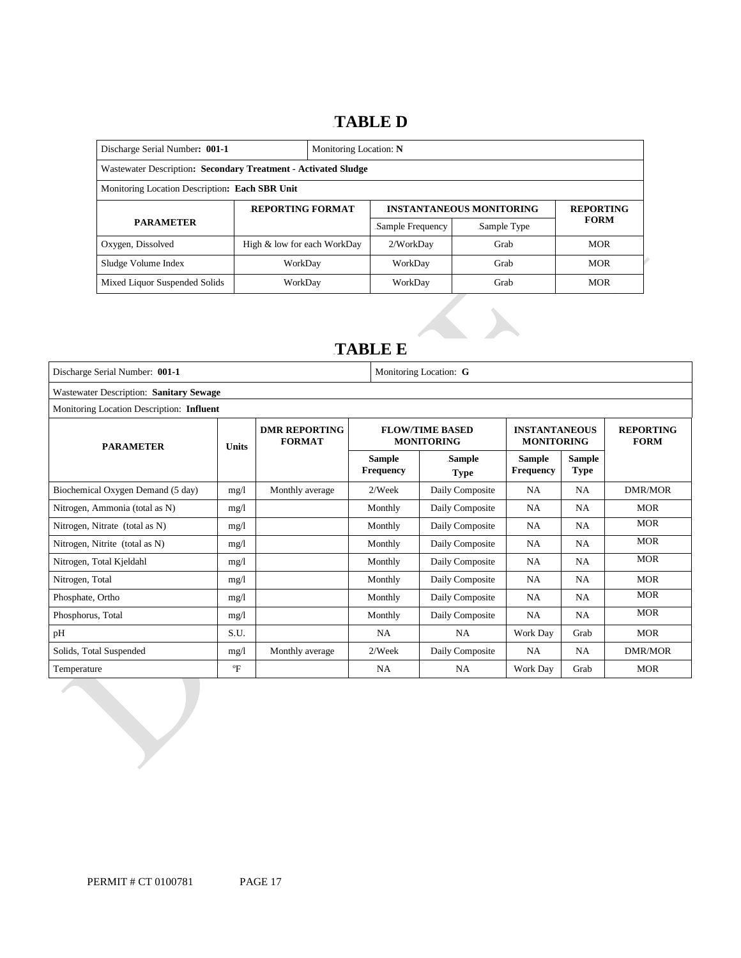### 14B**TABLE D**

| Discharge Serial Number: 001-1                                 |                             | Monitoring Location: N |                                 |                                 |            |             |  |
|----------------------------------------------------------------|-----------------------------|------------------------|---------------------------------|---------------------------------|------------|-------------|--|
| Wastewater Description: Secondary Treatment - Activated Sludge |                             |                        |                                 |                                 |            |             |  |
| Monitoring Location Description: Each SBR Unit                 |                             |                        |                                 |                                 |            |             |  |
|                                                                | <b>REPORTING FORMAT</b>     |                        | <b>INSTANTANEOUS MONITORING</b> | <b>REPORTING</b><br><b>FORM</b> |            |             |  |
| <b>PARAMETER</b>                                               |                             |                        | Sample Frequency                |                                 |            | Sample Type |  |
| Oxygen, Dissolved                                              | High & low for each WorkDay |                        | 2/WorkDay                       | Grab                            | <b>MOR</b> |             |  |
| Sludge Volume Index                                            | WorkDay                     |                        | WorkDay                         | Grab                            | <b>MOR</b> |             |  |
| Mixed Liquor Suspended Solids                                  | WorkDay                     |                        | WorkDay                         | Grab                            | <b>MOR</b> |             |  |

### 15B**TABLE E**

| Discharge Serial Number: 001-1            |                  |                                       |                            | Monitoring Location: G                      |                                           |                              |                                 |  |
|-------------------------------------------|------------------|---------------------------------------|----------------------------|---------------------------------------------|-------------------------------------------|------------------------------|---------------------------------|--|
| Wastewater Description: Sanitary Sewage   |                  |                                       |                            |                                             |                                           |                              |                                 |  |
| Monitoring Location Description: Influent |                  |                                       |                            |                                             |                                           |                              |                                 |  |
| <b>PARAMETER</b>                          | <b>Units</b>     | <b>DMR REPORTING</b><br><b>FORMAT</b> |                            | <b>FLOW/TIME BASED</b><br><b>MONITORING</b> | <b>INSTANTANEOUS</b><br><b>MONITORING</b> |                              | <b>REPORTING</b><br><b>FORM</b> |  |
|                                           |                  |                                       | <b>Sample</b><br>Frequency | Sample<br><b>Type</b>                       | <b>Sample</b><br>Frequency                | <b>Sample</b><br><b>Type</b> |                                 |  |
| Biochemical Oxygen Demand (5 day)         | mg/l             | Monthly average                       | 2/Week                     | Daily Composite                             | <b>NA</b>                                 | <b>NA</b>                    | <b>DMR/MOR</b>                  |  |
| Nitrogen, Ammonia (total as N)            | mg/l             |                                       | Monthly                    | Daily Composite                             | <b>NA</b>                                 | <b>NA</b>                    | <b>MOR</b>                      |  |
| Nitrogen, Nitrate (total as N)            | mg/l             |                                       | Monthly                    | Daily Composite                             | <b>NA</b>                                 | NA                           | <b>MOR</b>                      |  |
| Nitrogen, Nitrite (total as N)            | mg/l             |                                       | Monthly                    | Daily Composite                             | <b>NA</b>                                 | NA                           | <b>MOR</b>                      |  |
| Nitrogen, Total Kjeldahl                  | mg/l             |                                       | Monthly                    | Daily Composite                             | NA                                        | <b>NA</b>                    | <b>MOR</b>                      |  |
| Nitrogen, Total                           | mg/l             |                                       | Monthly                    | Daily Composite                             | NA                                        | <b>NA</b>                    | <b>MOR</b>                      |  |
| Phosphate, Ortho                          | mg/l             |                                       | Monthly                    | Daily Composite                             | <b>NA</b>                                 | <b>NA</b>                    | <b>MOR</b>                      |  |
| Phosphorus, Total                         | mg/1             |                                       | Monthly                    | Daily Composite                             | <b>NA</b>                                 | <b>NA</b>                    | <b>MOR</b>                      |  |
| pH                                        | S.U.             |                                       | NA.                        | NA.                                         | Work Day                                  | Grab                         | <b>MOR</b>                      |  |
| Solids, Total Suspended                   | mg/l             | Monthly average                       | 2/Week                     | Daily Composite                             | <b>NA</b>                                 | NA                           | <b>DMR/MOR</b>                  |  |
| Temperature                               | $\mathrm{^{o}F}$ |                                       | NA.                        | <b>NA</b>                                   | Work Day                                  | Grab                         | <b>MOR</b>                      |  |
|                                           |                  |                                       |                            |                                             |                                           |                              |                                 |  |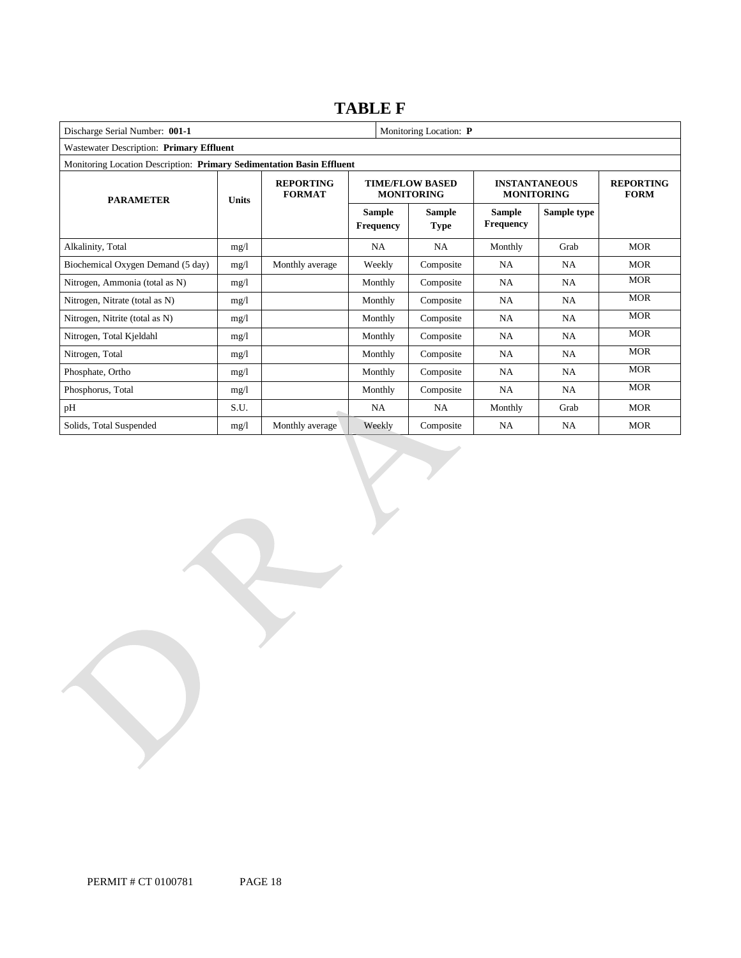### **TABLE F**

| Discharge Serial Number: 001-1<br>Monitoring Location: P              |              |                                   |                            |                                             |                                           |                                 |            |  |  |
|-----------------------------------------------------------------------|--------------|-----------------------------------|----------------------------|---------------------------------------------|-------------------------------------------|---------------------------------|------------|--|--|
| Wastewater Description: Primary Effluent                              |              |                                   |                            |                                             |                                           |                                 |            |  |  |
| Monitoring Location Description: Primary Sedimentation Basin Effluent |              |                                   |                            |                                             |                                           |                                 |            |  |  |
| <b>PARAMETER</b>                                                      | <b>Units</b> | <b>REPORTING</b><br><b>FORMAT</b> |                            | <b>TIME/FLOW BASED</b><br><b>MONITORING</b> | <b>INSTANTANEOUS</b><br><b>MONITORING</b> | <b>REPORTING</b><br><b>FORM</b> |            |  |  |
|                                                                       |              |                                   | Sample<br><b>Frequency</b> | <b>Sample</b><br><b>Type</b>                | <b>Sample</b><br>Frequency                | Sample type                     |            |  |  |
| Alkalinity, Total                                                     | mg/1         |                                   | <b>NA</b>                  | NA                                          | Monthly                                   | Grab                            | <b>MOR</b> |  |  |
| Biochemical Oxygen Demand (5 day)                                     | mg/1         | Monthly average                   | Weekly                     | Composite                                   | <b>NA</b>                                 | <b>NA</b>                       | <b>MOR</b> |  |  |
| Nitrogen, Ammonia (total as N)                                        | mg/1         |                                   | Monthly                    | Composite                                   | <b>NA</b>                                 | NA                              | <b>MOR</b> |  |  |
| Nitrogen, Nitrate (total as N)                                        | mg/1         |                                   | Monthly                    | Composite                                   | <b>NA</b>                                 | <b>NA</b>                       | <b>MOR</b> |  |  |
| Nitrogen, Nitrite (total as N)                                        | mg/1         |                                   | Monthly                    | Composite                                   | <b>NA</b>                                 | NA                              | <b>MOR</b> |  |  |
| Nitrogen, Total Kjeldahl                                              | mg/1         |                                   | Monthly                    | Composite                                   | <b>NA</b>                                 | NA                              | <b>MOR</b> |  |  |
| Nitrogen, Total                                                       | mg/1         |                                   | Monthly                    | Composite                                   | <b>NA</b>                                 | NA                              | <b>MOR</b> |  |  |
| Phosphate, Ortho                                                      | mg/1         |                                   | Monthly                    | Composite                                   | <b>NA</b>                                 | NA                              | <b>MOR</b> |  |  |
| Phosphorus, Total                                                     | mg/1         |                                   | Monthly                    | Composite                                   | <b>NA</b>                                 | <b>NA</b>                       | <b>MOR</b> |  |  |
| pH                                                                    | S.U.         |                                   | <b>NA</b>                  | <b>NA</b>                                   | Monthly                                   | Grab                            | <b>MOR</b> |  |  |
| Solids, Total Suspended                                               | mg/1         | Monthly average                   | Weekly                     | Composite                                   | <b>NA</b>                                 | NA                              | <b>MOR</b> |  |  |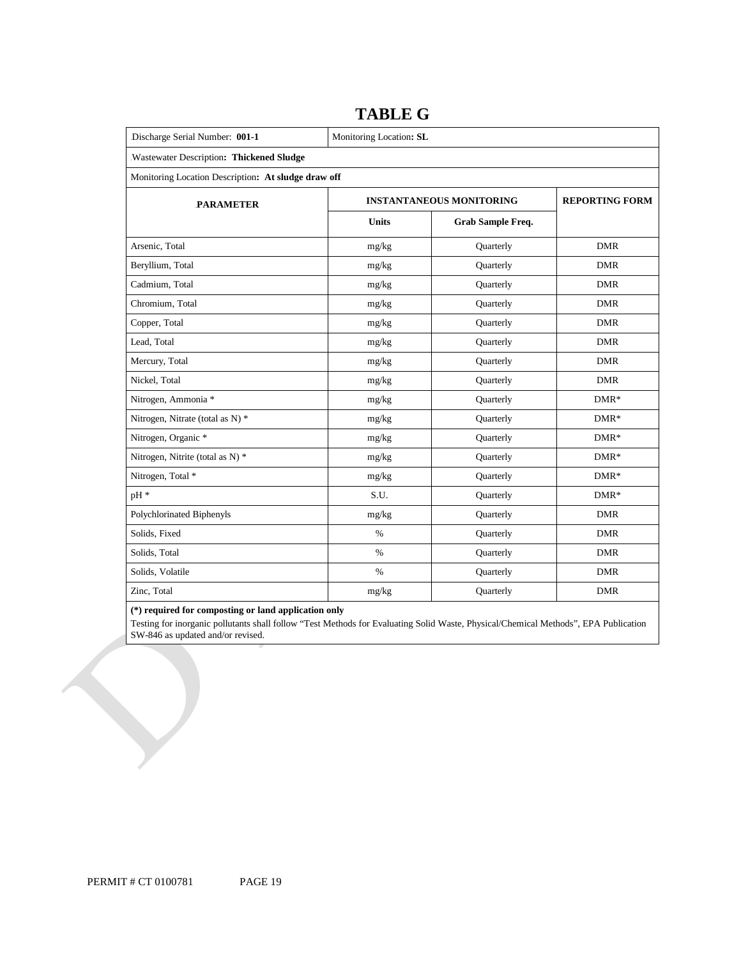| Discharge Serial Number: 001-1                      | Monitoring Location: SL         |                       |            |  |  |  |  |  |  |
|-----------------------------------------------------|---------------------------------|-----------------------|------------|--|--|--|--|--|--|
| Wastewater Description: Thickened Sludge            |                                 |                       |            |  |  |  |  |  |  |
| Monitoring Location Description: At sludge draw off |                                 |                       |            |  |  |  |  |  |  |
| <b>PARAMETER</b>                                    | <b>INSTANTANEOUS MONITORING</b> | <b>REPORTING FORM</b> |            |  |  |  |  |  |  |
|                                                     | <b>Units</b>                    | Grab Sample Freq.     |            |  |  |  |  |  |  |
| Arsenic, Total                                      | mg/kg                           | Quarterly             | <b>DMR</b> |  |  |  |  |  |  |
| Beryllium, Total                                    | mg/kg                           | Quarterly             | <b>DMR</b> |  |  |  |  |  |  |
| Cadmium, Total                                      | mg/kg                           | Quarterly             | <b>DMR</b> |  |  |  |  |  |  |
| Chromium, Total                                     | mg/kg                           | Quarterly             | <b>DMR</b> |  |  |  |  |  |  |
| Copper, Total                                       | mg/kg                           | Quarterly             | <b>DMR</b> |  |  |  |  |  |  |
| Lead, Total                                         | mg/kg                           | Quarterly             | <b>DMR</b> |  |  |  |  |  |  |
| Mercury, Total                                      | mg/kg                           | Quarterly             | <b>DMR</b> |  |  |  |  |  |  |
| Nickel, Total                                       | mg/kg                           | Quarterly             | <b>DMR</b> |  |  |  |  |  |  |
| Nitrogen, Ammonia *                                 | mg/kg                           | Quarterly             | $DMR*$     |  |  |  |  |  |  |
| Nitrogen, Nitrate (total as N) *                    | mg/kg                           | Quarterly             | $DMR*$     |  |  |  |  |  |  |
| Nitrogen, Organic *                                 | mg/kg                           | Quarterly             | $DMR*$     |  |  |  |  |  |  |
| Nitrogen, Nitrite (total as N) *                    | mg/kg                           | Quarterly             | $DMR*$     |  |  |  |  |  |  |
| Nitrogen, Total *                                   | mg/kg                           | Quarterly             | $DMR*$     |  |  |  |  |  |  |
| pH *                                                | S.U.                            | Quarterly             | $DMR*$     |  |  |  |  |  |  |
| Polychlorinated Biphenyls                           | $\rm mg/kg$                     | Quarterly             | <b>DMR</b> |  |  |  |  |  |  |
| Solids, Fixed                                       | $\%$                            | Quarterly             | <b>DMR</b> |  |  |  |  |  |  |
| Solids, Total                                       | $\%$                            | Quarterly             | <b>DMR</b> |  |  |  |  |  |  |
| Solids, Volatile                                    | $\%$                            | Quarterly             | <b>DMR</b> |  |  |  |  |  |  |
| Zinc, Total                                         | mg/kg                           | Quarterly             | <b>DMR</b> |  |  |  |  |  |  |

### **TABLE G**

 **(\*) required for composting or land application only** 

 Testing for inorganic pollutants shall follow "Test Methods for Evaluating Solid Waste, Physical/Chemical Methods", EPA Publication SW-846 as updated and/or revised.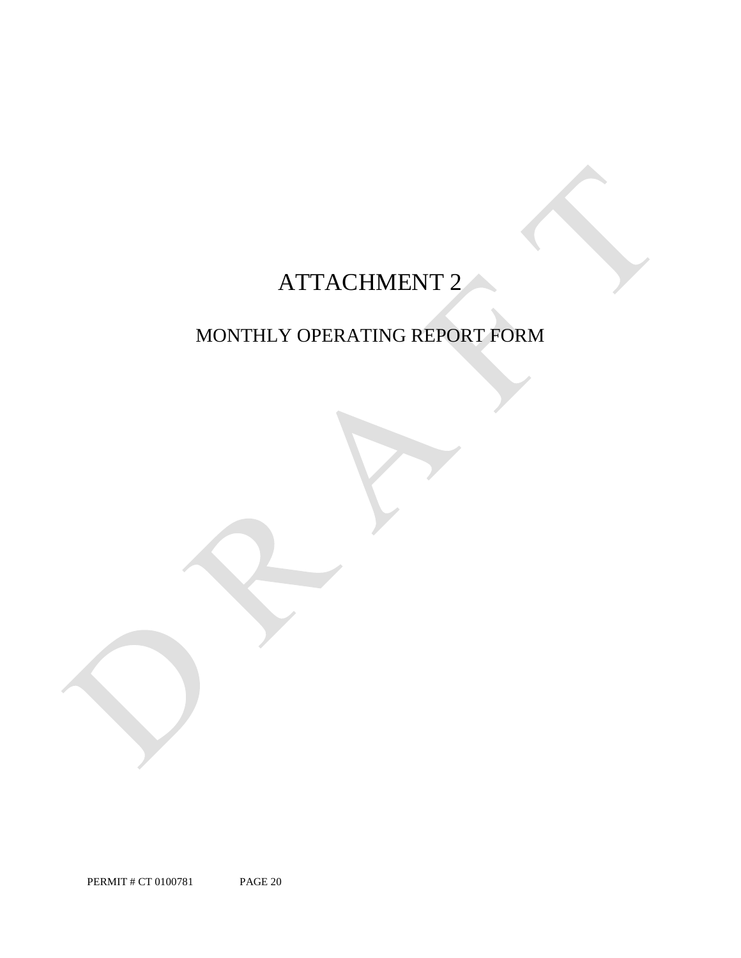# ATTACHMENT 2

## MONTHLY OPERATING REPORT FORM

PERMIT # CT 0100781 PAGE 20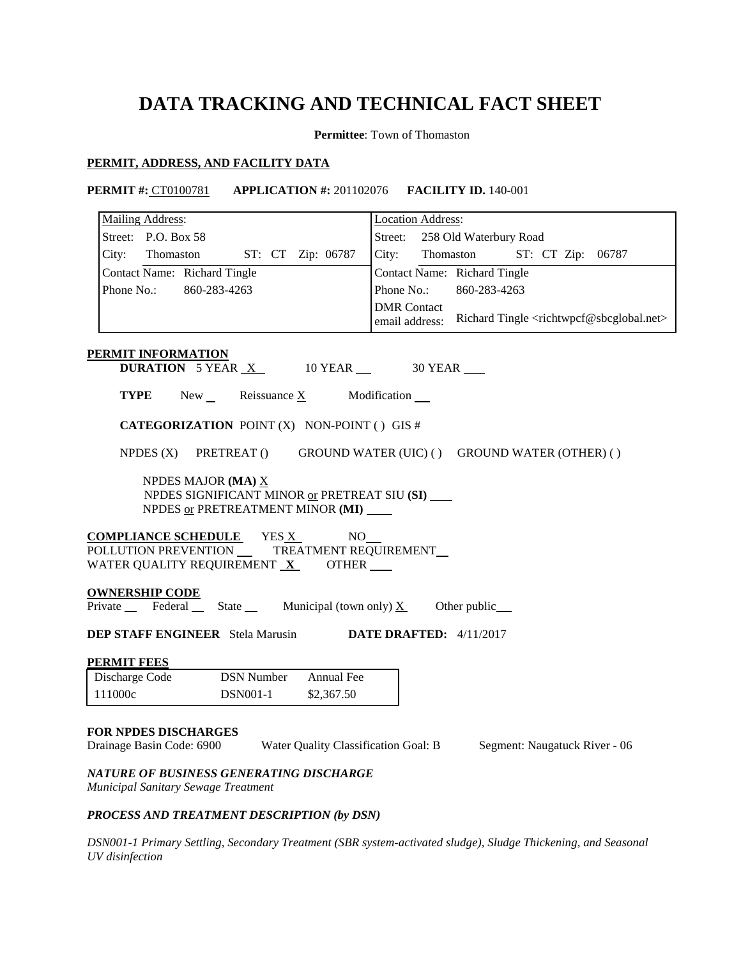## **DATA TRACKING AND TECHNICAL FACT SHEET**

**Permittee**: Town of Thomaston

### **PERMIT, ADDRESS, AND FACILITY DATA**

**PERMIT #: CT0100781 APPLICATION #: 201102076 <b>FACILITY ID.** 140-001

|            | <b>Mailing Address:</b>      |  |                   | <b>Location Address:</b>             |                              |  |                                                                    |
|------------|------------------------------|--|-------------------|--------------------------------------|------------------------------|--|--------------------------------------------------------------------|
|            | Street: P.O. Box 58          |  |                   | Street:                              | 258 Old Waterbury Road       |  |                                                                    |
| City:      | Thomaston                    |  | ST: CT Zip: 06787 | City:                                | Thomaston ST: CT Zip:        |  | 06787                                                              |
|            | Contact Name: Richard Tingle |  |                   |                                      | Contact Name: Richard Tingle |  |                                                                    |
| Phone No.: | 860-283-4263                 |  |                   | Phone No.:                           | 860-283-4263                 |  |                                                                    |
|            |                              |  |                   | <b>DMR</b> Contact<br>email address: |                              |  | Richard Tingle <richtwpcf@sbcglobal.net></richtwpcf@sbcglobal.net> |

### **PERMIT INFORMATION**

**DURATION** 5 YEAR X **DURATION** 5 YEAR X 10 YEAR 30 YEAR

**TYPE** New Reissuance  $\underline{X}$  Modification

**CATEGORIZATION** POINT (X) NON-POINT ( ) GIS #

NPDES (X) PRETREAT () GROUND WATER (UIC) () GROUND WATER (OTHER) ()

NPDES MAJOR **(MA)** X NPDES SIGNIFICANT MINOR or PRETREAT SIU **(SI)**  NPDES or PRETREATMENT MINOR **(MI)** 

 **COMPLIANCE SCHEDULE** YES X NO **POLLUTION PREVENTION WATER QUALITY REQUIREMENT**  $\underline{\mathbf{X}}$  **OTHER** TREATMENT REQUIREMENT

### **OWNERSHIP CODE**

Private Federal State Municipal (town only)  $X$  Other public

**DEP STAFF ENGINEER** Stela Marusin **DATE DRAFTED:** 4/11/2017

### **PERMIT FEES**

| Discharge Code | <b>DSN Number</b> | Annual Fee |
|----------------|-------------------|------------|
| 111000c        | <b>DSN001-1</b>   | \$2,367.50 |

### **FOR NPDES DISCHARGES**

Drainage Basin Code: 6900 Water Quality Classification Goal: B Segment: Naugatuck River - 06

*NATURE OF BUSINESS GENERATING DISCHARGE* 

*Municipal Sanitary Sewage Treatment* 

### *PROCESS AND TREATMENT DESCRIPTION (by DSN)*

 *DSN001-1 Primary Settling, Secondary Treatment (SBR system-activated sludge), Sludge Thickening, and Seasonal UV disinfection*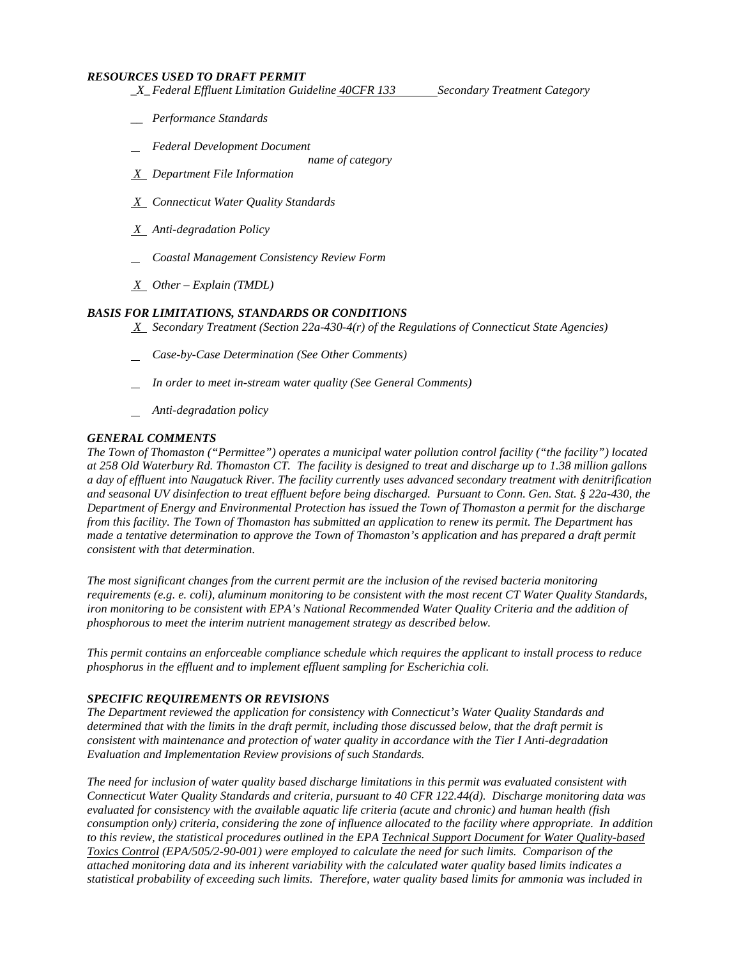### *RESOURCES USED TO DRAFT PERMIT*

*\_X\_Federal Effluent Limitation Guideline 40CFR 133 \_\_\_\_\_\_Secondary Treatment Category* 

- *\_\_ Performance Standards*
- *Federal Development Document*

*name of category*

- *X Department File Information*
- *X Connecticut Water Quality Standards*
- *X Anti-degradation Policy*
- *Coastal Management Consistency Review Form*
- *X Other Explain (TMDL)*

### *BASIS FOR LIMITATIONS, STANDARDS OR CONDITIONS*

 *X Secondary Treatment (Section 22a-430-4(r) of the Regulations of Connecticut State Agencies)* 

- *Case-by-Case Determination (See Other Comments)*
- *In order to meet in-stream water quality (See General Comments)*
- *Anti-degradation policy*

### *GENERAL COMMENTS*

 *at 258 Old Waterbury Rd. Thomaston CT. The facility is designed to treat and discharge up to 1.38 million gallons a day of effluent into Naugatuck River. The facility currently uses advanced secondary treatment with denitrification*  made a tentative determination to approve the Town of Thomaston's application and has prepared a draft permit *consistent* with that determination. *The Town of Thomaston ("Permittee") operates a municipal water pollution control facility ("the facility") located and seasonal UV disinfection to treat effluent before being discharged. Pursuant to Conn. Gen. Stat. § 22a-430, the Department of Energy and Environmental Protection has issued the Town of Thomaston a permit for the discharge from this facility. The Town of Thomaston has submitted an application to renew its permit. The Department has* 

consistent with that determination.<br>The most significant changes from the current permit are the inclusion of the revised bacteria monitoring phosphorous to meet the interim nutrient management strategy as described below. *requirements (e.g. e. coli), aluminum monitoring to be consistent with the most recent CT Water Quality Standards, iron monitoring to be consistent with EPA's National Recommended Water Quality Criteria and the addition of* 

*phis permit contains an enforceable compliance schedule which requires the applicant to install process to reduce phosphorus in the effluent and to implement effluent sampling for Escherichia coli.* 

### *SPECIFIC REQUIREMENTS OR REVISIONS*

*The Department reviewed the application for consistency with Connecticut's Water Quality Standards and determined that with the limits in the draft permit, including those discussed below, that the draft permit is consistent with maintenance and protection of water quality in accordance with the Tier I Anti-degradation Evaluation and Implementation Review provisions of such Standards.* 

 *Connecticut Water Quality Standards and criteria, pursuant to 40 CFR 122.44(d). Discharge monitoring data was consumption only) criteria, considering the zone of influence allocated to the facility where appropriate. In addition to this review, the statistical procedures outlined in the EPA Technical Support Document for Water Quality-based statistical probability of exceeding such limits. Therefore, water quality based limits for ammonia was included in The need for inclusion of water quality based discharge limitations in this permit was evaluated consistent with evaluated for consistency with the available aquatic life criteria (acute and chronic) and human health (fish Toxics Control (EPA/505/2-90-001) were employed to calculate the need for such limits. Comparison of the attached monitoring data and its inherent variability with the calculated water quality based limits indicates a*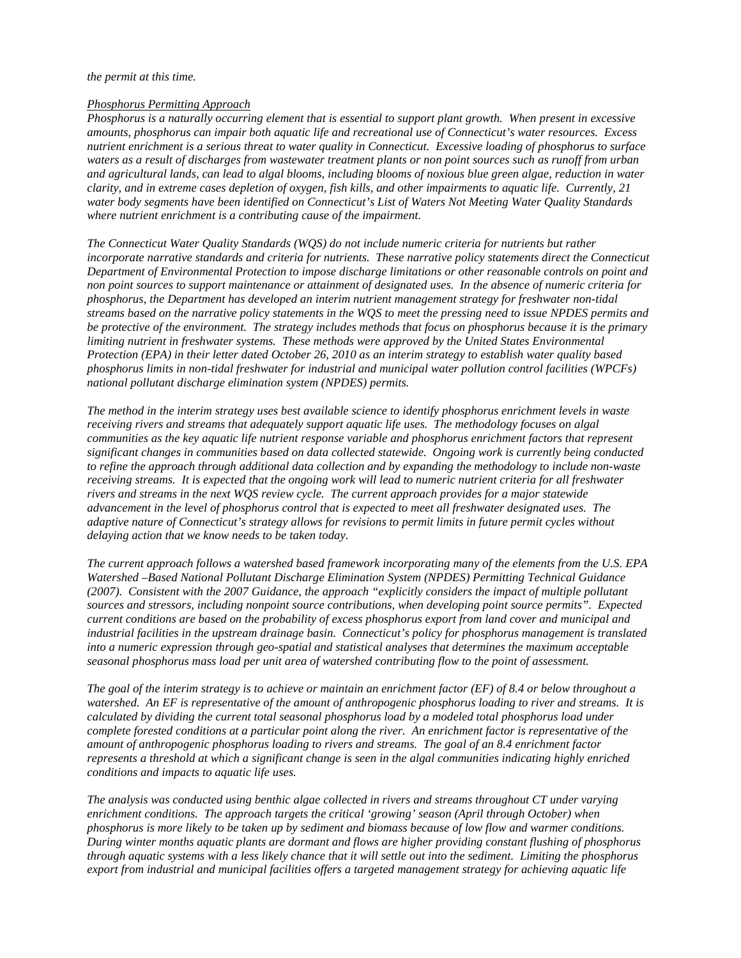#### *the permit at this time.*

### *Phosphorus Permitting Approach*

 *water body segments have been identified on Connecticut's List of Waters Not Meeting Water Quality Standards Phosphorus is a naturally occurring element that is essential to support plant growth. When present in excessive amounts, phosphorus can impair both aquatic life and recreational use of Connecticut's water resources. Excess nutrient enrichment is a serious threat to water quality in Connecticut. Excessive loading of phosphorus to surface waters as a result of discharges from wastewater treatment plants or non point sources such as runoff from urban and agricultural lands, can lead to algal blooms, including blooms of noxious blue green algae, reduction in water clarity, and in extreme cases depletion of oxygen, fish kills, and other impairments to aquatic life. Currently, 21 where nutrient enrichment is a contributing cause of the impairment.* 

 *phosphorus limits in non-tidal freshwater for industrial and municipal water pollution control facilities (WPCFs) national pollutant discharge elimination system (NPDES) permits. The Connecticut Water Quality Standards (WQS) do not include numeric criteria for nutrients but rather incorporate narrative standards and criteria for nutrients. These narrative policy statements direct the Connecticut Department of Environmental Protection to impose discharge limitations or other reasonable controls on point and non point sources to support maintenance or attainment of designated uses. In the absence of numeric criteria for phosphorus, the Department has developed an interim nutrient management strategy for freshwater non-tidal streams based on the narrative policy statements in the WQS to meet the pressing need to issue NPDES permits and be protective of the environment. The strategy includes methods that focus on phosphorus because it is the primary limiting nutrient in freshwater systems. These methods were approved by the United States Environmental Protection (EPA) in their letter dated October 26, 2010 as an interim strategy to establish water quality based* 

*The method in the interim strategy uses best available science to identify phosphorus enrichment levels in waste receiving rivers and streams that adequately support aquatic life uses. The methodology focuses on algal communities as the key aquatic life nutrient response variable and phosphorus enrichment factors that represent significant changes in communities based on data collected statewide. Ongoing work is currently being conducted to refine the approach through additional data collection and by expanding the methodology to include non-waste receiving streams. It is expected that the ongoing work will lead to numeric nutrient criteria for all freshwater rivers and streams in the next WQS review cycle. The current approach provides for a major statewide advancement in the level of phosphorus control that is expected to meet all freshwater designated uses. The adaptive nature of Connecticut's strategy allows for revisions to permit limits in future permit cycles without delaying action that we know needs to be taken today.* 

 *industrial facilities in the upstream drainage basin. Connecticut's policy for phosphorus management is translated*  seasonal phosphorus mass load per unit area of watershed contributing flow to the point of assessment. *The current approach follows a watershed based framework incorporating many of the elements from the U.S. EPA Watershed –Based National Pollutant Discharge Elimination System (NPDES) Permitting Technical Guidance (2007). Consistent with the 2007 Guidance, the approach "explicitly considers the impact of multiple pollutant sources and stressors, including nonpoint source contributions, when developing point source permits". Expected current conditions are based on the probability of excess phosphorus export from land cover and municipal and into a numeric expression through geo-spatial and statistical analyses that determines the maximum acceptable* 

*conditions and impacts to aquatic life uses. The goal of the interim strategy is to achieve or maintain an enrichment factor (EF) of 8.4 or below throughout a watershed. An EF is representative of the amount of anthropogenic phosphorus loading to river and streams. It is calculated by dividing the current total seasonal phosphorus load by a modeled total phosphorus load under complete forested conditions at a particular point along the river. An enrichment factor is representative of the amount of anthropogenic phosphorus loading to rivers and streams. The goal of an 8.4 enrichment factor represents a threshold at which a significant change is seen in the algal communities indicating highly enriched* 

 *phosphorus is more likely to be taken up by sediment and biomass because of low flow and warmer conditions. conditions and impacts to aquatic life uses. The analysis was conducted using benthic algae collected in rivers and streams throughout CT under varying enrichment conditions. The approach targets the critical 'growing' season (April through October) when During winter months aquatic plants are dormant and flows are higher providing constant flushing of phosphorus through aquatic systems with a less likely chance that it will settle out into the sediment. Limiting the phosphorus export from industrial and municipal facilities offers a targeted management strategy for achieving aquatic life*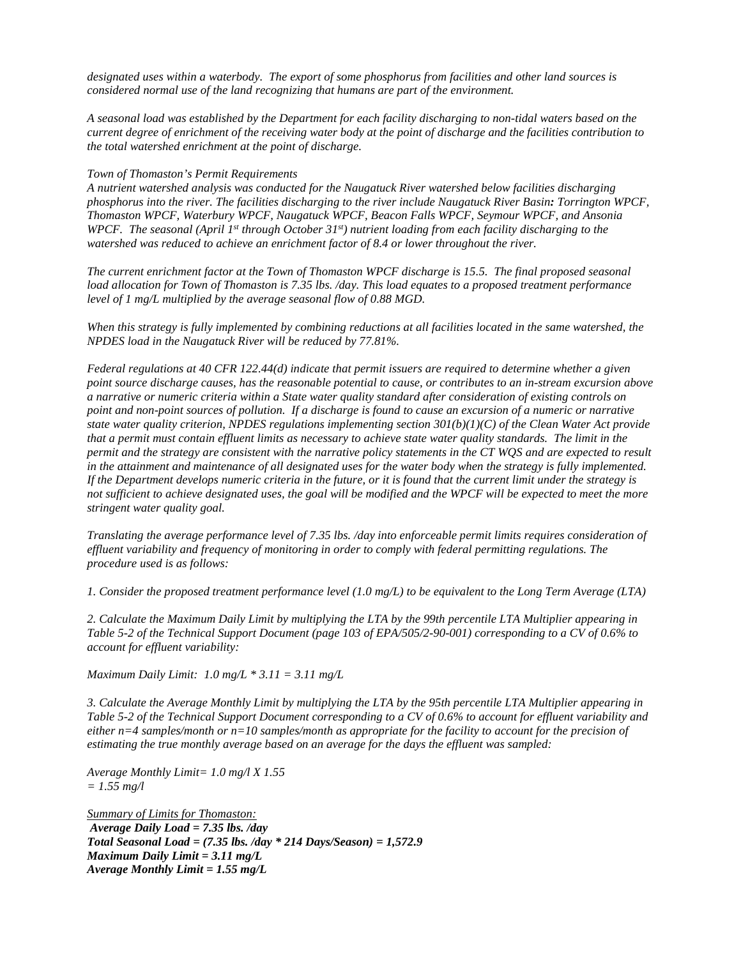*considered normal use of the land recognizing that humans are part of the environment. designated uses within a waterbody. The export of some phosphorus from facilities and other land sources is* 

 *current degree of enrichment of the receiving water body at the point of discharge and the facilities contribution to the total watershed enrichment at the point of discharge. Town of Thomaston's Permit Requirements A seasonal load was established by the Department for each facility discharging to non-tidal waters based on the* 

*watershed was reduced to achieve an enrichment factor of 8.4 or lower throughout the river. A nutrient watershed analysis was conducted for the Naugatuck River watershed below facilities discharging phosphorus into the river. The facilities discharging to the river include Naugatuck River Basin: Torrington WPCF, Thomaston WPCF, Waterbury WPCF, Naugatuck WPCF, Beacon Falls WPCF, Seymour WPCF, and Ansonia WPCF. The seasonal (April 1st through October 31st) nutrient loading from each facility discharging to the* 

level of 1 mg/L multiplied by the average seasonal flow of 0.88 MGD. The current enrichment factor at the Town of Thomaston WPCF discharge is 15.5. The final proposed seasonal *load allocation for Town of Thomaston is 7.35 lbs. /day. This load equates to a proposed treatment performance* 

*leararafied by the areage seasonal multiplied by the average seasonal facilities located in the same watershed, the NPDES load in the Naugatuck River will be reduced by 77.81%.* 

*stringent water quality goal. Federal regulations at 40 CFR 122.44(d) indicate that permit issuers are required to determine whether a given point source discharge causes, has the reasonable potential to cause, or contributes to an in-stream excursion above a narrative or numeric criteria within a State water quality standard after consideration of existing controls on point and non-point sources of pollution. If a discharge is found to cause an excursion of a numeric or narrative state water quality criterion, NPDES regulations implementing section 301(b)(1)(C) of the Clean Water Act provide that a permit must contain effluent limits as necessary to achieve state water quality standards. The limit in the permit and the strategy are consistent with the narrative policy statements in the CT WQS and are expected to result in the attainment and maintenance of all designated uses for the water body when the strategy is fully implemented. If the Department develops numeric criteria in the future, or it is found that the current limit under the strategy is*  not sufficient to achieve designated uses, the goal will be modified and the WPCF will be expected to meet the more

*Translating the average performance level of 7.35 lbs. /day into enforceable permit limits requires consideration of effluent variability and frequency of monitoring in order to comply with federal permitting regulations. The procedure used is as follows:* 

*1. Consider the proposed treatment performance level (1.0 mg/L) to be equivalent to the Long Term Average (LTA)*

*2. Calculate the Maximum Daily Limit by multiplying the LTA by the 99th percentile LTA Multiplier appearing in Table 5-2 of the Technical Support Document (page 103 of EPA/505/2-90-001) corresponding to a CV of 0.6% to account for effluent variability:*

*Maximum Daily Limit: 1.0 mg/L \* 3.11 = 3.11 mg/L* 

*3. Calculate the Average Monthly Limit by multiplying the LTA by the 95th percentile LTA Multiplier appearing in Table 5-2 of the Technical Support Document corresponding to a CV of 0.6% to account for effluent variability and either n=4 samples/month or n=10 samples/month as appropriate for the facility to account for the precision of estimating the true monthly average based on an average for the days the effluent was sampled:*

*Average Monthly Limit= 1.0 mg/l X 1.55*   $= 1.55$  mg/l

*Average Daily Load = 7.35 lbs.*  $\langle day$  *Average Monthly Limit = 1.55 mg/L Summary of Limits for Thomaston: Total Seasonal Load = (7.35 lbs. /day \* 214 Days/Season) = 1,572.9 Maximum Daily Limit = 3.11 mg/L*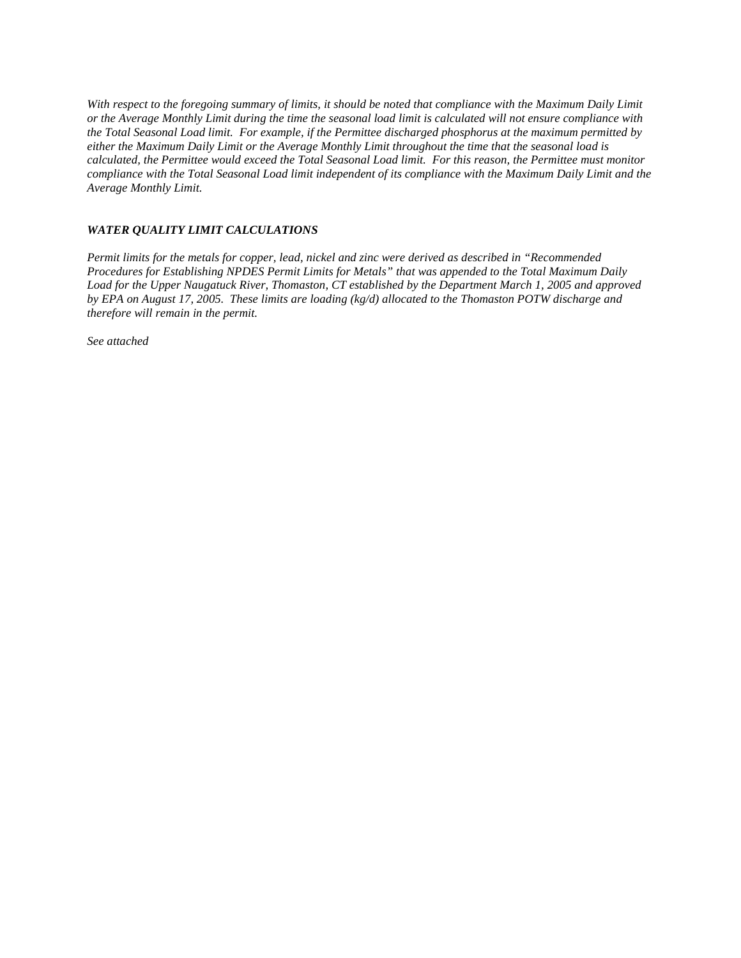With respect to the foregoing summary of limits, it should be noted that compliance with the Maximum Daily Limit *or the Average Monthly Limit during the time the seasonal load limit is calculated will not ensure compliance with the Total Seasonal Load limit. For example, if the Permittee discharged phosphorus at the maximum permitted by either the Maximum Daily Limit or the Average Monthly Limit throughout the time that the seasonal load is calculated, the Permittee would exceed the Total Seasonal Load limit. For this reason, the Permittee must monitor compliance with the Total Seasonal Load limit independent of its compliance with the Maximum Daily Limit and the Average Monthly Limit.* 

### *WATER QUALITY LIMIT CALCULATIONS*

 *by EPA on August 17, 2005. These limits are loading (kg/d) allocated to the Thomaston POTW discharge and therefore will remain in the permit. See attached Permit limits for the metals for copper, lead, nickel and zinc were derived as described in "Recommended Procedures for Establishing NPDES Permit Limits for Metals" that was appended to the Total Maximum Daily Load for the Upper Naugatuck River, Thomaston, CT established by the Department March 1, 2005 and approved*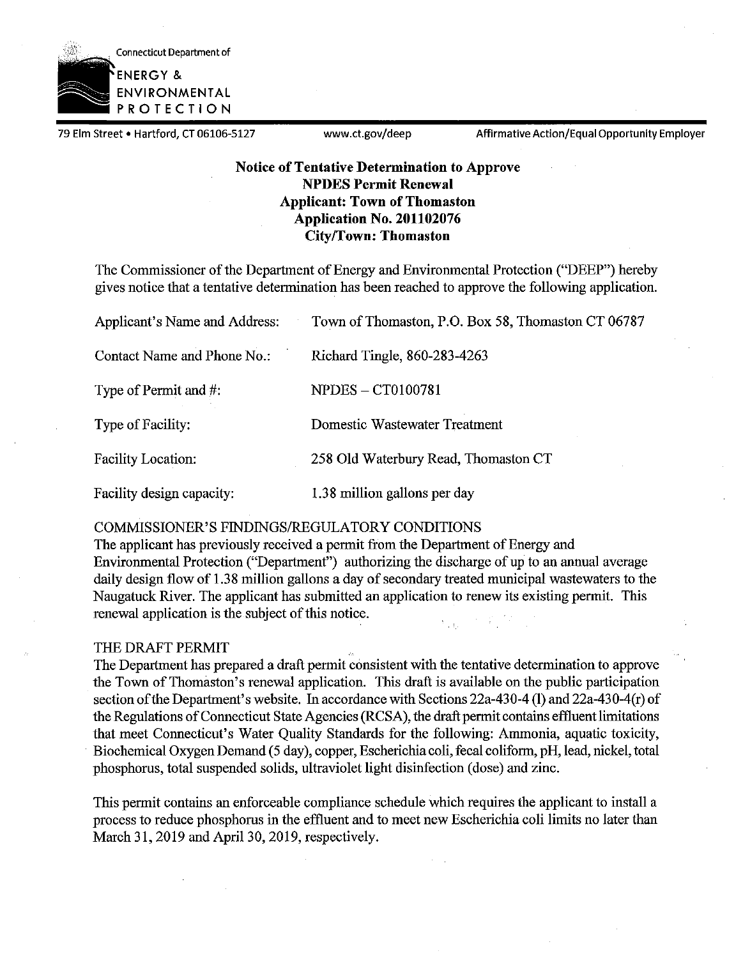

79 Elm Street • Hartford, CT 06106-5127 www.ct.gov/deep Affirmative Action/Equal Opportunity Employer

### **Notice of Tentative Determination to Approve NPDES Permit Renewal Applicant: Town of Thomaston Application No. 201102076 City/Town: Thomaston**

The Commissioner of the Department of Energy and Environmental Protection ("DEEP") hereby gives notice that a tentative determination has been reached to approve the following application.

| Applicant's Name and Address: | Town of Thomaston, P.O. Box 58, Thomaston CT 06787 |
|-------------------------------|----------------------------------------------------|
| Contact Name and Phone No.:   | Richard Tingle, 860-283-4263                       |
| Type of Permit and #:         | <b>NPDES - CT0100781</b>                           |
| Type of Facility:             | Domestic Wastewater Treatment                      |
| <b>Facility Location:</b>     | 258 Old Waterbury Read, Thomaston CT               |
| Facility design capacity:     | 1.38 million gallons per day                       |

### COMMISSIONER'S FINDINGS/REGULATORY CONDITIONS

The applicant has previously received a permit from the Department of Energy and Environmental Protection ("Department") authorizing the discharge of up to an annual average daily design flow of 1.38 million gallons a day of secondary treated municipal wastewaters to the Naugatuck River. The applicant has submitted an application to renew its existing permit. This renewal application is the subject of this notice.

### THE DRAFT PERMIT

The Department has prepared a draft permit consistent with the tentative determination to approve the Town of Thomaston's renewal application. This draft is available on the public participation section ofthe Department's website. In accordance with Sections 22a-430-4 **(1)** and 22a-430-4(r) of the Regulations of Connecticut State Agencies (RCSA), the draft permit contains effluent limitations that meet Connecticut's Water Quality Standards for the following: Ammonia, aquatic toxicity, Biochemical Oxygen Demand (5 day), copper, Escherichia coli, fecal coliform, pH, lead, nickel, total phosphorus, total suspended solids, ultraviolet light disinfection (dose) and zinc.

This permit contains an enforceable compliance schedule which requires the applicant to install a process to reduce phosphorus in the effluent and to meet new Escherichia coli limits no later than March 31, 2019 and April 30, 2019, respectively.